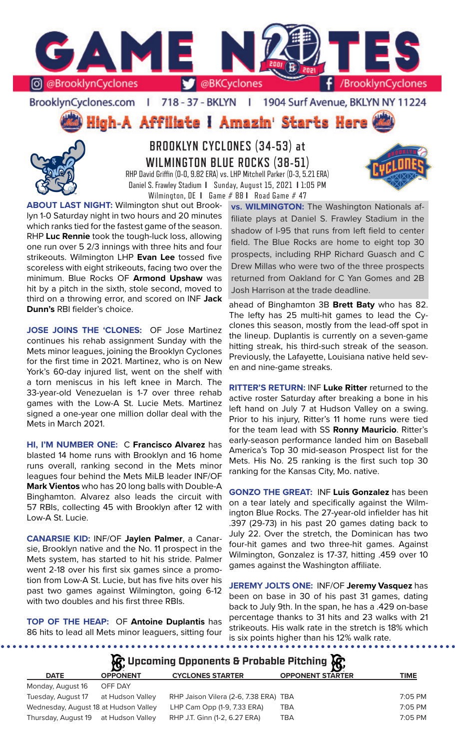

### BrooklynCyclones.com | 718 - 37 - BKLYN | 1904 Surf Avenue, BKLYN NY 11224

High-A Affiliate I Amazin' Starts Here



**BROOKLYN CYCLONES (34-53) at WILMINGTON BLUE ROCKS (38-51)** RHP David Griffin (0-0, 9.82 ERA) vs. LHP Mitchell Parker (0-3, 5.21 ERA) Daniel S. Frawley Stadium **I** Sunday, August 15, 2021 **I** 1:05 PM

Wilmington, DE **I** Game # 88 **I** Road Game # 47



**ABOUT LAST NIGHT:** Wilmington shut out Brooklyn 1-0 Saturday night in two hours and 20 minutes which ranks tied for the fastest game of the season. RHP **Luc Rennie** took the tough-luck loss, allowing one run over 5 2/3 innings with three hits and four strikeouts. Wilmington LHP **Evan Lee** tossed five scoreless with eight strikeouts, facing two over the minimum. Blue Rocks OF **Armond Upshaw** was hit by a pitch in the sixth, stole second, moved to third on a throwing error, and scored on INF **Jack Dunn's** RBI fielder's choice.

**JOSE JOINS THE 'CLONES:** OF Jose Martinez continues his rehab assignment Sunday with the Mets minor leagues, joining the Brooklyn Cyclones for the first time in 2021. Martinez, who is on New York's 60-day injured list, went on the shelf with a torn meniscus in his left knee in March. The 33-year-old Venezuelan is 1-7 over three rehab games with the Low-A St. Lucie Mets. Martinez signed a one-year one million dollar deal with the Mets in March 2021.

**HI, I'M NUMBER ONE:** C **Francisco Alvarez** has blasted 14 home runs with Brooklyn and 16 home runs overall, ranking second in the Mets minor leagues four behind the Mets MiLB leader INF/OF **Mark Vientos** who has 20 long balls with Double-A Binghamton. Alvarez also leads the circuit with 57 RBIs, collecting 45 with Brooklyn after 12 with Low-A St. Lucie.

**CANARSIE KID:** INF/OF **Jaylen Palmer**, a Canarsie, Brooklyn native and the No. 11 prospect in the Mets system, has started to hit his stride. Palmer went 2-18 over his first six games since a promotion from Low-A St. Lucie, but has five hits over his past two games against Wilmington, going 6-12 with two doubles and his first three RBIs.

**TOP OF THE HEAP:** OF **Antoine Duplantis** has 86 hits to lead all Mets minor leaguers, sitting four

**vs. WILMINGTON:** The Washington Nationals affiliate plays at Daniel S. Frawley Stadium in the shadow of I-95 that runs from left field to center field. The Blue Rocks are home to eight top 30 prospects, including RHP Richard Guasch and C Drew Millas who were two of the three prospects returned from Oakland for C Yan Gomes and 2B Josh Harrison at the trade deadline.

ahead of Binghamton 3B **Brett Baty** who has 82. The lefty has 25 multi-hit games to lead the Cyclones this season, mostly from the lead-off spot in the lineup. Duplantis is currently on a seven-game hitting streak, his third-such streak of the season. Previously, the Lafayette, Louisiana native held seven and nine-game streaks.

**RITTER'S RETURN:** INF **Luke Ritter** returned to the active roster Saturday after breaking a bone in his left hand on July 7 at Hudson Valley on a swing. Prior to his injury, Ritter's 11 home runs were tied for the team lead with SS **Ronny Mauricio**. Ritter's early-season performance landed him on Baseball America's Top 30 mid-season Prospect list for the Mets. His No. 25 ranking is the first such top 30 ranking for the Kansas City, Mo. native.

**GONZO THE GREAT:** INF **Luis Gonzalez** has been on a tear lately and specifically against the Wilmington Blue Rocks. The 27-year-old infielder has hit .397 (29-73) in his past 20 games dating back to July 22. Over the stretch, the Dominican has two four-hit games and two three-hit games. Against Wilmington, Gonzalez is 17-37, hitting .459 over 10 games against the Washington affiliate.

**JEREMY JOLTS ONE:** INF/OF **Jeremy Vasquez** has been on base in 30 of his past 31 games, dating back to July 9th. In the span, he has a .429 on-base percentage thanks to 31 hits and 23 walks with 21 strikeouts. His walk rate in the stretch is 18% which is six points higher than his 12% walk rate.

|                                       |                  | $\mathcal{R}$ Upcoming Opponents & Probable Pitching $\mathcal{R}$ |                         |             |
|---------------------------------------|------------------|--------------------------------------------------------------------|-------------------------|-------------|
| <b>DATE</b>                           | <b>OPPONENT</b>  | <b>CYCLONES STARTER</b>                                            | <b>OPPONENT STARTER</b> | <b>TIME</b> |
| Monday, August 16                     | OFF DAY          |                                                                    |                         |             |
| Tuesday, August 17                    | at Hudson Valley | RHP Jaison Vilera (2-6, 7.38 ERA) TBA                              |                         | 7:05 PM     |
| Wednesday, August 18 at Hudson Valley |                  | LHP Cam Opp (1-9, 7.33 ERA)                                        | TBA                     | 7:05 PM     |

Thursday, August 19 at Hudson Valley RHP J.T. Ginn (1-2, 6.27 ERA) TBA 7:05 PM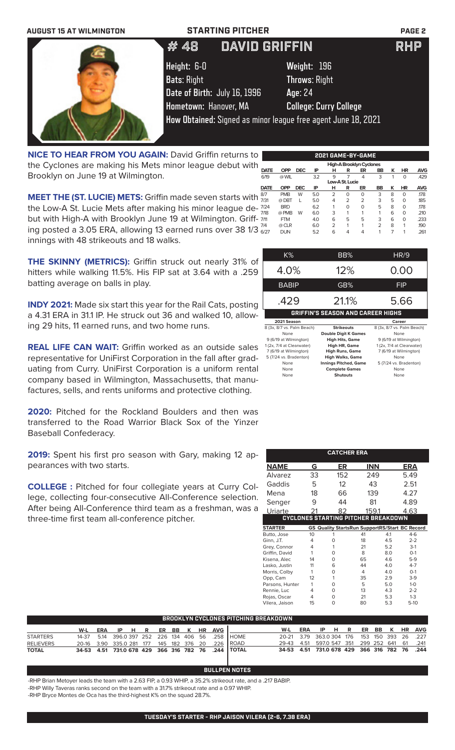| <b>AUGUST 15 AT WILMINGTON</b> | <b>STARTING PITCHER</b>                                       |                               | <b>PAGE 2</b> |
|--------------------------------|---------------------------------------------------------------|-------------------------------|---------------|
|                                | <b>DAVID GRIFFIN</b><br># 48                                  |                               | <b>RHP</b>    |
|                                | Height: 6-0                                                   | Weight: 196                   |               |
|                                | <b>Bats: Right</b>                                            | <b>Throws: Right</b>          |               |
|                                | Date of Birth: July 16, 1996                                  | Age: 24                       |               |
|                                | Hometown: Hanover, MA                                         | <b>College: Curry College</b> |               |
|                                | How Obtained: Signed as minor league free agent June 18, 2021 |                               |               |

**High-A Brooklyn Cyclones**<br> **DATE OPP DEC IP H R ER B DATE OPP DEC IP H R ER BB K HR AVG** 6/19 @ WIL 3.2 9 7 4 3 1 0 .429 **NICE TO HEAR FROM YOU AGAIN: David Griffin returns to** the Cyclones are making his Mets minor league debut with Brooklyn on June 19 at Wilmington. **Low-A St. Lucie**<br> **DATE** OPP DEC IP H R

 $\sqrt{2}$ 

**MEET THE (ST. LUCIE) METS:** Griffin made seven starts with  $\frac{87}{7/31}$ the Low-A St. Lucie Mets after making his minor league de- $\frac{724}{200}$ but with High-A with Brooklyn June 19 at Wilmington. Griff- 711 ing posted a 3.05 ERA, allowing 13 earned runs over 38 1/3  $\frac{7}{4}$ innings with 48 strikeouts and 18 walks. 8/7 PMB W 5.0 2 0 0 3 8 0 .178 7/31 @ DBT L 5.0 4 2 2 3 5 0 .185 7/24 BRD 6.2 1 0 0 5 8 0 .178 7/18 @ PMB W 6.0 3 1 1 1 6 0 .210 7/11 FTM 4.0 6 5 5 3 6 0 .233 7/4 @ CLR 6.0 2 1 1 2 8 1 .190

**THE SKINNY (METRICS):** Griffin struck out nearly 31% of hitters while walking 11.5%. His FIP sat at 3.64 with a .259 batting average on balls in play.

**INDY 2021:** Made six start this year for the Rail Cats, posting a 4.31 ERA in 31.1 IP. He struck out 36 and walked 10, allowing 29 hits, 11 earned runs, and two home runs.

**REAL LIFE CAN WAIT:** Griffin worked as an outside sales representative for UniFirst Corporation in the fall after graduating from Curry. UniFirst Corporation is a uniform rental company based in Wilmington, Massachusetts, that manufactures, sells, and rents uniforms and protective clothing.

**2020:** Pitched for the Rockland Boulders and then was transferred to the Road Warrior Black Sox of the Yinzer Baseball Confederacy.

**2019:** Spent his first pro season with Gary, making 12 appearances with two starts.

**COLLEGE :** Pitched for four collegiate years at Curry College, collecting four-consecutive All-Conference selection. After being All-Conference third team as a freshman, was a three-time first team all-conference pitcher.

| 6/27 | DUN                                      | 5.2 | 6                           | Δ                       |      |  |                            | .261 |  |  |
|------|------------------------------------------|-----|-----------------------------|-------------------------|------|--|----------------------------|------|--|--|
|      | $K\%$                                    |     |                             | BB%                     |      |  | HR/9                       |      |  |  |
|      |                                          |     |                             |                         |      |  |                            |      |  |  |
|      | 4.0%                                     |     |                             | 12%                     |      |  | 0.00                       |      |  |  |
|      | <b>BABIP</b>                             |     |                             | GB%                     |      |  | <b>FIP</b>                 |      |  |  |
|      | .429                                     |     |                             | 21.1%                   | 5.66 |  |                            |      |  |  |
|      | <b>GRIFFIN'S SEASON AND CAREER HIGHS</b> |     |                             |                         |      |  |                            |      |  |  |
|      | 2021 Season                              |     |                             |                         |      |  | Career                     |      |  |  |
|      | 8 (3x, 8/7 vs. Palm Beach)               |     |                             | <b>Strikeouts</b>       |      |  | 8 (3x, 8/7 vs. Palm Beach) |      |  |  |
|      | None                                     |     | <b>Double Digit K Games</b> |                         |      |  | None                       |      |  |  |
|      | 9 (6/19 at Wilmington)                   |     |                             | <b>High Hits, Game</b>  |      |  | 9 (6/19 at Wilmington)     |      |  |  |
|      | 1 (2x, 7/4 at Clearwater)                |     |                             | High HR, Game           |      |  | 1 (2x, 7/4 at Clearwater)  |      |  |  |
|      | 7 (6/19 at Wilmington)                   |     |                             | <b>High Runs, Game</b>  |      |  | 7 (6/19 at Wilmington)     |      |  |  |
|      | 5 (7/24 vs. Bradenton)                   |     |                             | <b>High Walks, Game</b> |      |  | None                       |      |  |  |

None **Innings Pitched, Game** 5 (7/24 vs. Bradenton)<br>
None **Complete Games** None **Shutouts** None **Complete Games** None<br> **Shutouts** None

.<br>**Shutouts** 

**2021 GAME-BY-GAME**

**DATE OPP DEC IP H R ER BB K HR AVG**

| <b>CATCHER ERA</b>                         |    |                                                       |       |     |         |  |  |  |  |  |
|--------------------------------------------|----|-------------------------------------------------------|-------|-----|---------|--|--|--|--|--|
| <b>NAME</b>                                | G  | ER                                                    | INN   |     | ERA     |  |  |  |  |  |
| Alvarez                                    | 33 | 152                                                   | 249   |     | 5.49    |  |  |  |  |  |
| Gaddis                                     | 5  | 12                                                    | 43    |     | 2.51    |  |  |  |  |  |
| Mena                                       | 18 | 66                                                    | 139   |     | 4.27    |  |  |  |  |  |
| Senger                                     | 9  | 44                                                    | 81    |     | 4.89    |  |  |  |  |  |
| Uriarte                                    | 21 | 82                                                    | 159.1 |     | 4.63    |  |  |  |  |  |
| <b>CYCLONES STARTING PITCHER BREAKDOWN</b> |    |                                                       |       |     |         |  |  |  |  |  |
| <b>STARTER</b>                             |    | <b>GS Quality StartsRun SupportRS/Start BC Record</b> |       |     |         |  |  |  |  |  |
| Butto, Jose                                | 10 |                                                       | 41    | 4.1 | $4-6$   |  |  |  |  |  |
| Ginn, J.T.                                 | 4  | O                                                     | 18    | 4.5 | $2 - 2$ |  |  |  |  |  |
| Grey, Connor                               | 4  | 1                                                     | 21    | 5.2 | $3-1$   |  |  |  |  |  |
| Griffin, David                             | 1  | O                                                     | 8     | 8.0 | $O-1$   |  |  |  |  |  |
| Kisena, Alec                               | 14 | O                                                     | 65    | 4.6 | $5-9$   |  |  |  |  |  |
| Lasko, Justin                              | 11 | 6                                                     | 44    | 4.0 | $4 - 7$ |  |  |  |  |  |
| Morris, Colby                              | 1  | O                                                     | 4     | 4.0 | $O-1$   |  |  |  |  |  |
| Opp, Cam                                   | 12 | 1                                                     | 35    | 2.9 | $3-9$   |  |  |  |  |  |
| Parsons, Hunter                            | 1  | O                                                     | 5     | 5.0 | $1 - 0$ |  |  |  |  |  |
| Rennie, Luc                                | 4  | O                                                     | 13    | 4.3 | $2 - 2$ |  |  |  |  |  |
| Rojas, Oscar                               | 4  | O                                                     | 21    | 5.3 | $1 - 3$ |  |  |  |  |  |
| Vilera, Jaison                             | 15 | $\Omega$                                              | 80    | 5.3 | $5-10$  |  |  |  |  |  |

| <b>BROOKLYN CYCLONES PITCHING BREAKDOWN</b> |                                                   |  |  |  |  |  |  |  |  |                           |                                                             |                                              |  |  |  |  |  |  |
|---------------------------------------------|---------------------------------------------------|--|--|--|--|--|--|--|--|---------------------------|-------------------------------------------------------------|----------------------------------------------|--|--|--|--|--|--|
|                                             | W-L                                               |  |  |  |  |  |  |  |  | ERA IP H R ER BB K HR AVG |                                                             | W-L ERA IP H R ER BB K HR AVG                |  |  |  |  |  |  |
| <b>STARTERS</b>                             |                                                   |  |  |  |  |  |  |  |  |                           | 14-37  5.14  396.0  397  252  226  134  406  56  .258  HOME | 20-21 3.79 363.0304 176 153 150 393 26 .227  |  |  |  |  |  |  |
| <b>RELIEVERS</b>                            | 20-16 3.90 335.0 281 177 145 182 376 20 .226 ROAD |  |  |  |  |  |  |  |  |                           |                                                             | 29-43 4.51 597.0 547 351 299 252 641 61 .241 |  |  |  |  |  |  |
| <b>TOTAL</b>                                |                                                   |  |  |  |  |  |  |  |  |                           | 34-53 4.51 731.0 678 429 366 316 782 76 .244 TOTAL          | 34-53 4.51 731.0 678 429 366 316 782 76 .244 |  |  |  |  |  |  |

# **BULLPEN NOTES**

-RHP Brian Metoyer leads the team with a 2.63 FIP, a 0.93 WHIP, a 35.2% strikeout rate, and a .217 BABIP.

-RHP Willy Taveras ranks second on the team with a 31.7% strikeout rate and a 0.97 WHIP.

-RHP Bryce Montes de Oca has the third-highest K% on the squad 28.7%.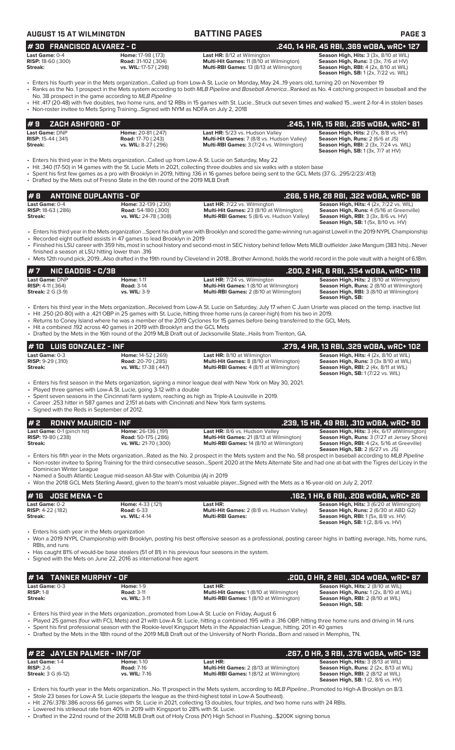| <b>AUGUST 15 AT WILMINGTON</b>                                            |                                                                                                                                                                           | <b>BATTING PAGES</b>                                                                                                                                                                                                                                                                                                                                                                                                                                                                                                                          | <b>PAGE 3</b>                                                                                                                                                                                |
|---------------------------------------------------------------------------|---------------------------------------------------------------------------------------------------------------------------------------------------------------------------|-----------------------------------------------------------------------------------------------------------------------------------------------------------------------------------------------------------------------------------------------------------------------------------------------------------------------------------------------------------------------------------------------------------------------------------------------------------------------------------------------------------------------------------------------|----------------------------------------------------------------------------------------------------------------------------------------------------------------------------------------------|
| #30 FRANCISCO ALVAREZ - C                                                 |                                                                                                                                                                           |                                                                                                                                                                                                                                                                                                                                                                                                                                                                                                                                               | .240, 14 HR, 45 RBI, .369 wOBA, wRC+ 127                                                                                                                                                     |
| Last Game: 0-4<br><b>RISP:</b> 18-60 (.300)<br>Streak:                    | Home: 17-98 (.173)<br><b>Road:</b> 31-102 (.304)<br>vs. WIL: 17-57 (.298)                                                                                                 | Last HR: 8/12 at Wilmington<br>Multi-Hit Games: 11 (8/10 at Wilmington)<br>Multi-RBI Games: 13 (8/13 at Wilmington)                                                                                                                                                                                                                                                                                                                                                                                                                           | Season High, Hits: 3 (3x, 8/10 at WIL)<br>Season High, Runs: 3 (3x, 7/6 at HV)<br>Season High, RBI: 4 (2x, 8/10 at WIL)<br><b>Season High, SB:</b> 1 (2x, 7/22 vs. WIL)                      |
|                                                                           | No. 38 prospect in the game according to MLB Pipeline                                                                                                                     | Fiters his fourth year in the Mets organizationCalled up from Low-A St. Lucie on Monday, May 2419 years old, turning 20 on November 19 •<br>· Ranks as the No. 1 prospect in the Mets system according to both MLB Pipeline and Baseball AmericaRanked as No. 4 catching prospect in baseball and the                                                                                                                                                                                                                                         |                                                                                                                                                                                              |
|                                                                           | • Non-roster invitee to Mets Spring TrainingSigned with NYM as NDFA on July 2, 2018                                                                                       | • Hit .417 (20-48) with five doubles, two home runs, and 12 RBIs in 15 games with St. LucieStruck out seven times and walked 15went 2-for-4 in stolen bases                                                                                                                                                                                                                                                                                                                                                                                   |                                                                                                                                                                                              |
| ZACH ASHFORD - OF<br>#9                                                   |                                                                                                                                                                           |                                                                                                                                                                                                                                                                                                                                                                                                                                                                                                                                               | .245, 1 HR, 15 RBI, .295 wOBA, wRC+ 81                                                                                                                                                       |
| Last Game: DNP<br><b>RISP:</b> 15-44 (.341)<br>Streak:                    | Home: 20-81 (.247)<br><b>Road: 17-70 (.243)</b><br>vs. WIL: 8-27 (.296)                                                                                                   | Last HR: 5/23 vs. Hudson Valley<br>Multi-Hit Games: 7 (8/8 vs. Hudson Valley)<br>Multi-RBI Games: 3 (7/24 vs. Wilmington)                                                                                                                                                                                                                                                                                                                                                                                                                     | Season High, Hits: 2 (7x, 8/8 vs. HV)<br>Season High, Runs: 2 (6/6 at JS)<br>Season High, RBI: 2 (3x, 7/24 vs. WIL)<br><b>Season High, SB:</b> $1(3x, 7/7$ at $HV$ )                         |
|                                                                           | • Drafted by the Mets out of Fresno State in the 6th round of the 2019 MLB Draft                                                                                          | Enters his third year in the Mets organizationCalled up from Low-A St. Lucie on Saturday, May 22 •<br>Hit .340 (17-50) in 14 games with the St. Lucie Mets in 2021, collecting three doubles and six walks with a stolen base<br>Spent his first few games as a pro with Brooklyn in 2019, hitting .136 in 16 games before being sent to the GCL Mets (37 G, .295/2/23/.413)                                                                                                                                                                  |                                                                                                                                                                                              |
| <b>ANTOINE DUPLANTIS - OF</b><br>#8                                       |                                                                                                                                                                           |                                                                                                                                                                                                                                                                                                                                                                                                                                                                                                                                               | .266, 5 HR, 28 RBI, .322 wOBA, wRC+ 98                                                                                                                                                       |
| Last Game: 0-4<br><b>RISP:</b> 18-63 (.286)<br><b>Streak:</b>             | Home: 32-139 (.230)<br><b>Road:</b> 54-180 (.300)<br>vs. WIL: 24-78 (.308)                                                                                                | Last HR: 7/22 vs. Wilmington<br>Multi-Hit Games: 23 (8/10 at Wilmington)<br>Multi-RBI Games: 5 (8/6 vs. Hudson Valley)                                                                                                                                                                                                                                                                                                                                                                                                                        | Season High, Hits: 4 (2x, 7/22 vs. WIL)<br>Season High, Runs: 4 (5/16 at Greenville)<br><b>Season High, RBI: 3 (3x, 8/6 vs. HV)</b><br><b>Season High, SB:</b> 1 (5x, 8/10 vs. HV)           |
|                                                                           | • Recorded eight outfield assists in 47 games to lead Brooklyn in 2019                                                                                                    | Enters his third year in the Mets organization Spent his draft year with Brooklyn and scored the game-winning run against Lowell in the 2019 NYPL Championship<br>• Finished his LSU career with 359 hits, most in school history and second-most in SEC history behind fellow Mets MiLB outfielder Jake Mangum (383 hits)Never                                                                                                                                                                                                               |                                                                                                                                                                                              |
| finished a season at LSU hitting lower than .316                          |                                                                                                                                                                           | • Mets 12th round pick, 2019Also drafted in the 19th round by Cleveland in 2018Brother Armond, holds the world record in the pole vault with a height of 6.18m.                                                                                                                                                                                                                                                                                                                                                                               |                                                                                                                                                                                              |
| #7<br><b>NIC GADDIS - C/3B</b>                                            |                                                                                                                                                                           |                                                                                                                                                                                                                                                                                                                                                                                                                                                                                                                                               | .200, 2 HR, 6 RBI, .354 wOBA, wRC+ 118                                                                                                                                                       |
| Last Game: DNP<br><b>RISP:</b> $4-11$ (.364)<br><b>Streak:</b> 2 G (3-9)  | <b>Home: 1-11</b><br><b>Road: 3-14</b><br><b>vs. WIL: 3-9</b>                                                                                                             | Last HR: 7/24 vs. Wilmington<br>Multi-Hit Games: 1 (8/10 at Wilmington)<br>Multi-RBI Games: 2 (8/10 at Wilmington)                                                                                                                                                                                                                                                                                                                                                                                                                            | Season High, Hits: 2 (8/10 at Wilmington)<br>Season High, Runs: 2 (8/10 at Wilmington)<br>Season High, RBI: 3 (8/10 at Wilmington)<br>Season High, SB:                                       |
|                                                                           | • Hit a combined .192 across 40 games in 2019 with Brooklyn and the GCL Mets                                                                                              | · Enters his third year in the Mets organizationReceived from Low-A St. Lucie on Saturday, July 17 when C Juan Uriarte was placed on the temp. inactive list<br>• Hit .250 (20-80) with a .421 OBP in 25 games with St. Lucie, hitting three home runs (a career-high) from his two in 2019.<br>• Returns to Coney Island where he was a member of the 2019 Cyclones for 15 games before being transferred to the GCL Mets.<br>• Drafted by the Mets in the 16th round of the 2019 MLB Draft out of Jacksonville StateHails from Trenton, GA. |                                                                                                                                                                                              |
| #10 LUIS GONZALEZ - INF                                                   |                                                                                                                                                                           |                                                                                                                                                                                                                                                                                                                                                                                                                                                                                                                                               | .279, 4 HR, 13 RBI, .329 wOBA, wRC+ 102                                                                                                                                                      |
| Last Game: 0-3<br>RISP: 9-29 (.310)<br><b>Streak:</b>                     | Home: 14-52 (.269)<br>Road: 20-70 (.285)<br>vs. WIL: 17-38 (.447)                                                                                                         | <b>Last HR: 8/10 at Wilmington</b><br>Multi-Hit Games: 8 (8/10 at Wilmington)<br>Multi-RBI Games: 4 (8/11 at Wilmington)                                                                                                                                                                                                                                                                                                                                                                                                                      | Season High, Hits: 4 (2x, 8/10 at WIL)<br>Season High, Runs: 3 (3x 8/10 at WIL)<br>Season High, RBI: 2 (4x, 8/11 at WIL)<br><b>Season High, SB: 1 (7/22 vs. WIL)</b>                         |
| • Signed with the Reds in September of 2012.                              | • Played three games with Low-A St. Lucie, going 3-12 with a double<br>• Career .253 hitter in 587 games and 2,151 at-bats with Cincinnati and New York farm systems.     | • Enters his first season in the Mets organization, signing a minor league deal with New York on May 30, 2021.<br>• Spent seven seasons in the Cincinnati farm system, reaching as high as Triple-A Louisville in 2019.                                                                                                                                                                                                                                                                                                                       |                                                                                                                                                                                              |
| #2<br><b>RONNY MAURICIO - INF</b>                                         |                                                                                                                                                                           |                                                                                                                                                                                                                                                                                                                                                                                                                                                                                                                                               | .239, 15 HR, 49 RBI, .310 WOBA, WRC+ 90                                                                                                                                                      |
| Last Game: 0-1 (pinch hit)<br><b>RISP: 19-80 (.238)</b><br><b>Streak:</b> | Home: 26-136 (.191)<br><b>Road:</b> 50-175 (.286)<br>vs. WIL: 21-70 (.300)                                                                                                | Last HR: 8/6 vs. Hudson Valley<br>Multi-Hit Games: 21 (8/13 at Wilmington)<br>Multi-RBI Games: 14 (8/10 at Wilmington)                                                                                                                                                                                                                                                                                                                                                                                                                        | Season High, Hits: 3 (4x, 6/17 atWilmington)<br>Season High, Runs: 3 (7/27 at Jersey Shore)<br><b>Season High, RBI:</b> 4 (2x, 5/16 at Greeville)<br><b>Season High, SB: 2 (6/27 vs. JS)</b> |
| Dominican Winter League                                                   | • Named a South Atlantic League mid-season All-Star with Columbia (A) in 2019                                                                                             | • Enters his fifth year in the Mets organizationRated as the No. 2 prospect in the Mets system and the No. 58 prospect in baseball according to MLB Pipeline<br>• Non-roster invitee to Spring Training for the third consecutive seasonSpent 2020 at the Mets Alternate Site and had one at-bat with the Tigres del Licey in the                                                                                                                                                                                                             |                                                                                                                                                                                              |
|                                                                           |                                                                                                                                                                           | • Won the 2018 GCL Mets Sterling Award, given to the team's most valuable playerSigned with the Mets as a 16-year-old on July 2, 2017.                                                                                                                                                                                                                                                                                                                                                                                                        |                                                                                                                                                                                              |
| <b>JOSE MENA - C</b><br># 16<br>Last Game: 0-2                            | Home: 4-33 (.121)                                                                                                                                                         | Last HR:                                                                                                                                                                                                                                                                                                                                                                                                                                                                                                                                      | .162, 1 HR, 6 RBI, .208 w0BA, wRC+ 26<br>Season High, Hits: 3 (6/20 at Wilmington)                                                                                                           |
| <b>RISP: 4-22 (.182)</b><br><b>Streak:</b>                                | <b>Road: 6-33</b><br>vs. WIL: 4-14                                                                                                                                        | Multi-Hit Games: 2 (8/8 vs. Hudson Valley)<br><b>Multi-RBI Games:</b>                                                                                                                                                                                                                                                                                                                                                                                                                                                                         | <b>Season High, Runs: 2 (6/30 at ABD G2)</b><br><b>Season High, RBI:</b> 1 (5x, 8/8 vs. HV)<br><b>Season High, SB:</b> 1(2, 8/6 vs. HV)                                                      |
| • Enters his sixth year in the Mets organization<br>RBIs, and runs        | • Has caught 81% of would-be base stealers (51 of 81) in his previous four seasons in the system.<br>• Signed with the Mets on June 22, 2016 as international free agent. | • Won a 2019 NYPL Championship with Brooklyn, posting his best offensive season as a professional, posting career highs in batting average, hits, home runs,                                                                                                                                                                                                                                                                                                                                                                                  |                                                                                                                                                                                              |
|                                                                           |                                                                                                                                                                           |                                                                                                                                                                                                                                                                                                                                                                                                                                                                                                                                               |                                                                                                                                                                                              |
| <b>TANNER MURPHY - OF</b><br># 14<br>Last Game: 0-3                       | <b>Home: 1-9</b>                                                                                                                                                          | Last HR:                                                                                                                                                                                                                                                                                                                                                                                                                                                                                                                                      | .200, 0 HR, 2 RBI, .304 w0BA, wRC+ 87<br>Season High, Hits: 2 (8/10 at WIL)                                                                                                                  |
| <b>RISP: 1-8</b><br><b>Streak:</b>                                        | <b>Road: 3-11</b><br>vs. WIL: 3-11                                                                                                                                        | Multi-Hit Games: 1 (8/10 at Wilmington)<br>Multi-RBI Games: 1 (8/10 at Wilmington)                                                                                                                                                                                                                                                                                                                                                                                                                                                            | Season High, Runs: 1 (2x, 8/10 at WIL)<br>Season High, RBI: 2 (8/10 at WIL)<br>Season High, SB:                                                                                              |
|                                                                           |                                                                                                                                                                           | Enters his third year in the Mets organizationpromoted from Low-A St. Lucie on Friday, August 6<br>• Played 25 games (four with FCL Mets) and 21 with Low-A St. Lucie, hitting a combined 195 with a .316 OBP, hitting three home runs and driving in 14 runs<br>• Spent his first professional season with the Rookie-level Kingsport Mets in the Appalachian League, hitting. 201 in 40 games<br>• Drafted by the Mets in the 18th round of the 2019 MLB Draft out of the University of North FloridaBorn and raised in Memphis, TN.        |                                                                                                                                                                                              |
| 22 JAYLEN PALMER - INF/OF                                                 |                                                                                                                                                                           |                                                                                                                                                                                                                                                                                                                                                                                                                                                                                                                                               | .267, 0 HR, 3 RBI, .376 w0BA, wRC+ 132                                                                                                                                                       |
| Last Game: 1-4                                                            | <b>Home: 1-10</b>                                                                                                                                                         | Last HR:                                                                                                                                                                                                                                                                                                                                                                                                                                                                                                                                      | Season High, Hits: 3 (8/13 at WIL)                                                                                                                                                           |

**Streak:** 3 G (6-12) **vs. WIL:** 7-16 **Multi-RBI Games:** 1 (8/12 at Wilmington) **Season High, RBI:** 2 (8/12 at WIL) Last Home: 1-10<br> **RISP:** 2-6<br> **Streak:** 3 G (6-12) **Rightnames: 7 (16** Multi-Hit Games: 2 (8/13 at Wilmington) **Season High, Runs:** 2 (2x, 8/13 at WIL)<br> **Streak:** 3 G (6-12) **Streak:** 3 G (6-12) **Streak:** 3 G (6-12) **Seaso** 

**RISP:** 2-6 **Road:** 7-16 **Multi-Hit Games:** 2 (8/13 at Wilmington) **Season High, Runs:** 2 (2x, 8/13 at WIL)

• Enters his fourth year in the Mets organization...No. 11 prospect in the Mets system, according to *MLB Pipeline*...Promoted to High-A Brooklyn on 8/3. • Stole 23 bases for Low-A St. Lucie (departs the league as the third-highest total in Low-A Southeast).

• Hit .276/.378/.386 across 66 games with St. Lucie in 2021, collecting 13 doubles, four triples, and two home runs with 24 RBIs.

• Lowered his strikeout rate from 40% in 2019 with Kingsport to 28% with St. Lucie.

• Drafted in the 22nd round of the 2018 MLB Draft out of Holy Cross (NY) High School in Flushing...\$200K signing bonus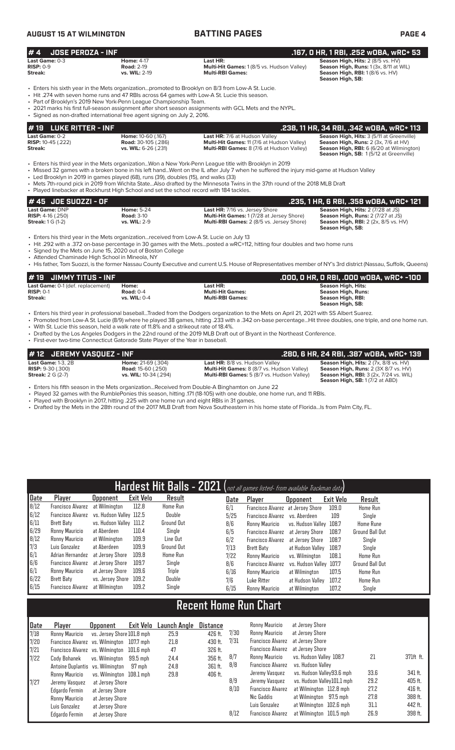# **AUGUST 15 AT WILMINGTON BATTING PAGES PAGE 4**

| #4<br><b>JOSE PEROZA - INF</b>                                           |                                                                                                                                                                                                                                                 |                                                                                                                                                                                                                                                                                                                                                                                 | .167, 0 HR, 1 RBI, .252 wOBA, wRC+ 53                                                                                                                                   |
|--------------------------------------------------------------------------|-------------------------------------------------------------------------------------------------------------------------------------------------------------------------------------------------------------------------------------------------|---------------------------------------------------------------------------------------------------------------------------------------------------------------------------------------------------------------------------------------------------------------------------------------------------------------------------------------------------------------------------------|-------------------------------------------------------------------------------------------------------------------------------------------------------------------------|
| Last Game: $0-3$<br>$RISP: 0-9$<br>Streak:                               | <b>Home: 4-17</b><br><b>Road: 2-19</b><br>vs. WIL: 2-19                                                                                                                                                                                         | Last HR:<br>Multi-Hit Games: 1 (8/5 vs. Hudson Valley)<br><b>Multi-RBI Games:</b>                                                                                                                                                                                                                                                                                               | Season High, Hits: 2 (8/5 vs. HV)<br>Season High, Runs: 1 (3x, 8/11 at WIL)<br>Season High, RBI: 1 (8/6 vs. HV)<br>Season High, SB:                                     |
|                                                                          | • Hit .274 with seven home runs and 47 RBIs across 64 games with Low-A St. Lucie this season.<br>• Part of Brooklyn's 2019 New York-Penn League Championship Team.<br>• Signed as non-drafted international free agent signing on July 2, 2016. | . Enters his sixth year in the Mets organizationpromoted to Brooklyn on 8/3 from Low-A St. Lucie.<br>• 2021 marks his first full-season assignment after short season assignments with GCL Mets and the NYPL.                                                                                                                                                                   |                                                                                                                                                                         |
| #19<br><b>LUKE RITTER - INF</b>                                          |                                                                                                                                                                                                                                                 |                                                                                                                                                                                                                                                                                                                                                                                 | .238, 11 HR, 34 RBI, .342 WOBA, WRC+ 113                                                                                                                                |
| Last Game: 0-2<br><b>RISP:</b> 10-45 (.222)<br>Streak:                   | Home: 10-60 (.167)<br><b>Road:</b> 30-105 (.286)<br>vs. WIL: 6-26 (.231)                                                                                                                                                                        | Last HR: 7/6 at Hudson Valley<br>Multi-Hit Games: 11 (7/6 at Hudson Valley)<br>Multi-RBI Games: 8 (7/6 at Hudson Valley)                                                                                                                                                                                                                                                        | Season High, Hits: 3 (5/11 at Greenville)<br>Season High, Runs: 2 (3x, 7/6 at HV)<br>Season High, RBI: 6 (6/20 at Wilmington)<br>Season High, SB: 1(5/12 at Greenville) |
|                                                                          | • Led Brooklyn in 2019 in games played (68), runs (39), doubles (15), and walks (33)<br>• Played linebacker at Rockhurst High School and set the school record with 184 tackles.                                                                | • Enters his third year in the Mets organizationWon a New York-Penn League title with Brooklyn in 2019<br>• Missed 32 games with a broken bone in his left handWent on the IL after July 7 when he suffered the injury mid-game at Hudson Valley<br>• Mets 7th-round pick in 2019 from Wichita StateAlso drafted by the Minnesota Twins in the 37th round of the 2018 MLB Draft |                                                                                                                                                                         |
| JOE SUOZZI - OF<br># 45                                                  |                                                                                                                                                                                                                                                 |                                                                                                                                                                                                                                                                                                                                                                                 | .235, 1 HR, 6 RBI, .358 wOBA, wRC+ 121                                                                                                                                  |
| Last Game: DNP<br><b>RISP:</b> $4-16$ (.250)<br><b>Streak: 1 G (1-2)</b> | <b>Home: 5-24</b><br><b>Road: 3-10</b><br>vs. WIL: 2-9                                                                                                                                                                                          | Last HR: 7/16 vs. Jersey Shore<br>Multi-Hit Games: 1 (7/28 at Jersey Shore)<br>Multi-RBI Games: 2 (8/5 vs. Jersey Shore)                                                                                                                                                                                                                                                        | Season High, Hits: 2 (7/28 at JS)<br>Season High, Runs: 2 (7/27 at JS)<br><b>Season High, RBI:</b> 2 (2x, 8/5 vs. HV)<br>Season High, SB:                               |

• Enters his third year in the Mets organization...received from Low-A St. Lucie on July 13

• Hit .292 with a .372 on-base percentage in 30 games with the Mets...posted a wRC+112, hitting four doubles and two home runs

• Signed by the Mets on June 15, 2020 out of Boston College

• Attended Chaminade High School in Mineola, NY

• His father, Tom Suozzi, is the former Nassau County Executive and current U.S. House of Representatives member of NY's 3rd district (Nassau, Suffolk, Queens)

| $# 19$ JIMMY TITUS - INF          |                |                         | .000, 0 HR, 0 RBI, .000 w0BA, wRC+ -100 |
|-----------------------------------|----------------|-------------------------|-----------------------------------------|
| Last Game: 0-1 (def. replacement) | Home:          | Last HR:                | Season High, Hits:                      |
| $RISP: 0-1$                       | Road: $0-4$    | <b>Multi-Hit Games:</b> | <b>Season High, Runs:</b>               |
| Streak:                           | vs. WIL: $0-4$ | <b>Multi-RBI Games:</b> | Season High, RBI:                       |
|                                   |                |                         | Season High, SB:                        |

• Enters his third year in professional baseball...Traded from the Dodgers organization to the Mets on April 21, 2021 with SS Albert Suarez.

• Promoted from Low-A St. Lucie (8/9) where he played 38 games, hitting .233 with a .342 on-base percentage...Hit three doubles, one triple, and one home run. • With St. Lucie this season, held a walk rate of 11.8% and a strikeout rate of 18.4%.

• Drafted by the Los Angeles Dodgers in the 22nd round of the 2019 MLB Draft out of Bryant in the Northeast Conference. • First-ever two-time Connecticut Gatorade State Player of the Year in baseball.

| $\sharp$ 12 $\;$ JEREMY VASOUEZ - INF                 |                                                        |                                                                                     | .280, 6 HR, 24 RBI, .387 wOBA, wRC+ 139                                              |
|-------------------------------------------------------|--------------------------------------------------------|-------------------------------------------------------------------------------------|--------------------------------------------------------------------------------------|
| Last Game: $1-3$ . $2B$<br><b>RISP:</b> $9-30$ (.300) | <b>Home: 21-69 (.304)</b><br><b>Road:</b> 15-60 (.250) | Last HR: 8/8 vs. Hudson Valley<br><b>Multi-Hit Games:</b> 8 (8/7 vs. Hudson Valley) | Season High, Hits: 2 (7x, 8/8 vs. HV)<br><b>Season High, Runs: 2 (3X 8/7 vs. HV)</b> |
| <b>Streak:</b> 2 G (2-7)                              | vs. WIL: 10-34 (.294)                                  | <b>Multi-RBI Games:</b> 5 (8/7 vs. Hudson Valley)                                   | <b>Season High, RBI:</b> $3$ (2x, $7/24$ vs. WIL)                                    |
|                                                       |                                                        |                                                                                     | <b>Season High, SB: 1 (7/2 at ABD)</b>                                               |

• Enters his fifth season in the Mets organization...Received from Double-A Binghamton on June 22

• Played 32 games with the RumblePonies this season, hitting .171 (18-105) with one double, one home run, and 11 RBIs.

• Played with Brooklyn in 2017, hitting .225 with one home run and eight RBIs in 31 games.

• Drafted by the Mets in the 28th round of the 2017 MLB Draft from Nova Southeastern in his home state of Florida...Is from Palm City, FL.

| Hardest Hit Balls - 2021 (not all games listed- from available Trackman data) |                          |                                  |           |                   |                 |      |                          |                   |                  |                  |
|-------------------------------------------------------------------------------|--------------------------|----------------------------------|-----------|-------------------|-----------------|------|--------------------------|-------------------|------------------|------------------|
| Date                                                                          | Player                   | <b>Upponent</b>                  | Exit Velo | Result            |                 | Date | <b>Player</b>            | <b>Opponent</b>   | <b>Exit Velo</b> | Result           |
| 8/12                                                                          | <b>Francisco Alvarez</b> | at Wilmington                    | 112.8     | Home Run          |                 | 6/1  | Francisco Alvarez        | at Jersey Shore   | 109.0            | <b>Home Run</b>  |
| 6/12                                                                          | <b>Francisco Alvarez</b> | vs. Hudson Valley 112.5          |           | Double            |                 | 5/25 | Francisco Alvarez        | vs. Aberdeen      | 109              | Single           |
| 6/11                                                                          | <b>Brett Baty</b>        | vs. Hudson Valley 111.2          |           | <b>Ground Out</b> |                 | 8/6  | Ronny Mauricio           | vs. Hudson Valley | 108.7            | <b>Home Rune</b> |
| 6/29                                                                          | Ronny Mauricio           | at Aberdeen                      | 110.4     | Single            |                 | 6/5  | <b>Francisco Alvarez</b> | at Jersey Shore   | 108.7            | Ground Ball Out  |
| 8/12                                                                          | Ronny Mauricio           | at Wilmington                    | 109.9     | Line Out          |                 | 6/2  | <b>Francisco Alvarez</b> | at Jersey Shore   | 108.7            | Single           |
| 7/3                                                                           | Luis Gonzalez            | at Aberdeen                      | 109.9     | <b>Ground Out</b> |                 | 7/13 | Brett Baty               | at Hudson Vallev  | 108.7            | Single           |
| 6/1                                                                           | Adrian Hernandez         | at Jersey Shore                  | 109.8     | Home Run          |                 | 7/22 | Ronny Mauricio           | vs. Wilmington    | 108.1            | Home Run         |
| 6/6                                                                           | <b>Francisco Alvarez</b> | at Jersev Shore                  | 109.7     | Single            |                 | 8/6  | <b>Francisco Alvarez</b> | vs. Hudson Valley | 107.7            | Ground Ball Out  |
| 6/1                                                                           | Ronny Mauricio           | at Jersey Shore                  | 109.6     | <b>Triple</b>     |                 | 6/16 | Ronny Mauricio           | at Wilmington     | 107.5            | <b>Home Run</b>  |
| 6/22                                                                          | <b>Brett Baty</b>        | vs. Jersey Shore                 | 109.2     | Double            |                 | 7/6  | Luke Ritter              | at Hudson Valley  | 107.2            | Home Run         |
| 6/15                                                                          | <b>Francisco Alvarez</b> | at Wilmington                    | 109.2     | Single            |                 | 6/15 | Ronny Mauricio           | at Wilmington     | 107.2            | Single           |
|                                                                               |                          |                                  |           |                   |                 |      |                          |                   |                  |                  |
| <b>Recent Home Run Chart</b>                                                  |                          |                                  |           |                   |                 |      |                          |                   |                  |                  |
| Date                                                                          | Player                   | <b>Opponent</b>                  | Exit Velo | Launch Angle      | <b>Distance</b> |      | Ronny Mauricio           | at Jersey Shore   |                  |                  |
| 7/18                                                                          | Ronny Mauricio           | vs. Jersey Shore 101.8 mph       |           | 25.9              | 426 ft.         | 7/30 | Ronny Mauricio           | at Jersey Shore   |                  |                  |
| 7/20                                                                          |                          | Francisco Alvarez vs. Wilmington | 107.7 mph | 21.8              | 430 ft.         | 7/31 | <b>Francisco Alvarez</b> | at Jersey Shore   |                  |                  |

|      | Recent Hom <u>e Run Chart'</u>   |                            |             |              |          |      |                          |                            |      |           |  |  |  |  |
|------|----------------------------------|----------------------------|-------------|--------------|----------|------|--------------------------|----------------------------|------|-----------|--|--|--|--|
| Date | Plaver                           | <b>Opponent</b>            | Exit Velo   | Launch Angle | Distance |      | Ronny Mauricio           | at Jersev Shore            |      |           |  |  |  |  |
| 7/18 | Ronny Mauricio                   | vs. Jersev Shore 101.8 mph |             | 25.9         | 426 ft.  | 7/30 | Ronny Mauricio           | at Jersey Shore            |      |           |  |  |  |  |
| 7/20 | Francisco Alvarez vs. Wilmington |                            | 107.7 mph   | 21.8         | 430 ft.  | 7/31 | <b>Francisco Alvarez</b> | at Jersev Shore            |      |           |  |  |  |  |
| 7/21 | Francisco Alvarez vs. Wilmington |                            | $101.6$ mph | 47           | 326 ft.  |      | <b>Francisco Alvarez</b> | at Jersev Shore            |      |           |  |  |  |  |
| 7/22 | Cody Bohanek                     | vs. Wilmington             | 99.5 mph    | 24.4         | 356 ft.  | 8/7  | Ronny Mauricio           | vs. Hudson Valley 108.7    | 21   | 371ft ft. |  |  |  |  |
|      | Antoine Duplantis vs. Wilmington |                            | 97 mph      | 24.8         | 361 ft.  | 8/8  | <b>Francisco Alvarez</b> | vs. Hudson Vallev          |      |           |  |  |  |  |
|      | Ronny Mauricio                   | vs. Wilminaton 108.1 mph   |             | 29.8         | 406 ft.  |      | Jeremy Vasquez           | vs. Hudson Vallev93.6 mph  | 33.6 | 341 ft.   |  |  |  |  |
| 7/27 | Jeremy Vasquez                   | at Jersev Shore            |             |              |          | 8/9  | Jeremy Vasquez           | vs. Hudson Vallev101.1 mph | 29.2 | 405 ft.   |  |  |  |  |
|      | Edgardo Fermin                   | at Jersev Shore            |             |              |          | 8/10 | <b>Francisco Alvarez</b> | at Wilmington 112.8 mph    | 27.2 | 416 ft.   |  |  |  |  |
|      | Ronny Mauricio                   | at Jersev Shore            |             |              |          |      | Nic Gaddis               | 97.5 mph<br>at Wilmington  | 27.8 | 388 ft.   |  |  |  |  |
|      | Luis Gonzalez                    | at Jersev Shore            |             |              |          |      | Luis Gonzalez            | at Wilmington 102.6 mph    | 31.1 | 442 ft.   |  |  |  |  |
|      | Edgardo Fermin                   | at Jersey Shore            |             |              |          | 8/12 | <b>Francisco Alvarez</b> | at Wilmington 101.5 mph    | 26.9 | 398 ft.   |  |  |  |  |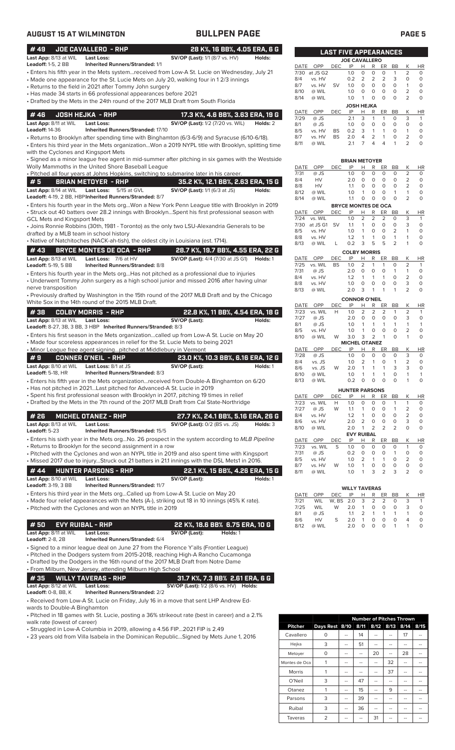| <b>AUGUST 15 AT WILMINGTON</b>                                                                                                                                                                                                                                                                                                                                                 | <b>BULLPEN PAGE</b>                                                                                                                                                                                                                                                                              |                                                         |                                                           |                                                                                                            |                                                                                                 |                                                                                                                                                          |                                                                        |                                                                              | PAGE <sub>5</sub>                                                      |
|--------------------------------------------------------------------------------------------------------------------------------------------------------------------------------------------------------------------------------------------------------------------------------------------------------------------------------------------------------------------------------|--------------------------------------------------------------------------------------------------------------------------------------------------------------------------------------------------------------------------------------------------------------------------------------------------|---------------------------------------------------------|-----------------------------------------------------------|------------------------------------------------------------------------------------------------------------|-------------------------------------------------------------------------------------------------|----------------------------------------------------------------------------------------------------------------------------------------------------------|------------------------------------------------------------------------|------------------------------------------------------------------------------|------------------------------------------------------------------------|
| #49<br>JOE CAVALLERO - RHP<br>Last App: 8/13 at WIL<br><b>Last Loss:</b>                                                                                                                                                                                                                                                                                                       | 28 K%, 16 BB%, 4.05 ERA, 6 G<br><b>SV/OP (Last):</b> 1/1 (8/7 vs. HV)<br>Holds:                                                                                                                                                                                                                  |                                                         |                                                           | <b>LAST FIVE APPEARANCES</b>                                                                               |                                                                                                 |                                                                                                                                                          |                                                                        |                                                                              |                                                                        |
| <b>Leadoff: 1-5, 2 BB</b><br><b>Inherited Runners/Stranded: 1/1</b><br>• Made one appearance for the St. Lucie Mets on July 20, walking four in 12/3 innings<br>• Returns to the field in 2021 after Tommy John surgery<br>• Has made 34 starts in 66 professional appearances before 2021<br>• Drafted by the Mets in the 24th round of the 2017 MLB Draft from South Florida | • Enters his fifth year in the Mets systemreceived from Low-A St. Lucie on Wednesday, July 21                                                                                                                                                                                                    | DATE OPP<br>7/30 at JS G2<br>8/4<br>8/7<br>8/10<br>8/14 | vs. HV<br>vs. HV<br>@ WIL<br>@ WIL                        | <b>DEC</b><br>IP<br>1.0<br>0.2<br><b>SV</b><br>1.0<br>1.0<br>1.0                                           | <b>JOE CAVALLERO</b><br>H<br>$\circ$<br>2<br>$\circ$<br>0<br>$\mathbf{1}$<br><b>JOSH HEJKA</b>  | R<br>ER<br>0<br>$\circ$<br>2<br>2<br>$\circ$<br>0<br>$\circ$<br>$\circ$<br>$\circ$<br>$\circ$                                                            | BB<br>$\mathbf{1}$<br>3<br>$\circ$<br>$\circ$<br>$\circ$               | К<br>2<br>0<br>$\mathbf{1}$<br>$\overline{2}$<br>$\overline{2}$              | <b>HR</b><br>$\circ$<br>$\circ$<br>$\circ$<br>$\circ$<br>$\Omega$      |
| #46<br><b>JOSH HEJKA - RHP</b><br>Last App: 8/11 at WIL<br><b>Last Loss:</b><br><b>Leadoff: 14-36</b><br><b>Inherited Runners/Stranded: 17/10</b><br>with the Cyclones and Kingsport Mets                                                                                                                                                                                      | 17.3 K%, 4.6 BB%, 3.63 ERA, 19 G<br><b>SV/OP (Last):</b> 1/2 (7/20 vs. WIL)<br>Holds: 2<br>• Returns to Brooklyn after spending time with Binghamton (6/3-6/9) and Syracuse (6/10-6/18).<br>• Enters his third year in the Mets organizationWon a 2019 NYPL title with Brooklyn, splitting time  | DATE<br>7/29<br>8/1<br>8/5<br>8/7<br>8/11               | OPP<br>@ JS<br>@ JS<br>vs. HV<br>vs. HV<br>@ WIL          | <b>DEC</b><br>IP<br>2.1<br>1.0<br><b>BS</b><br>0.2<br><b>BS</b><br>2.0<br>2.1                              | н<br>3<br>$\circ$<br>3<br>4<br>$\overline{7}$                                                   | R<br>ER<br>1<br>$\mathbf{1}$<br>$\circ$<br>$\circ$<br>$\mathbf{1}$<br>$\mathbf{1}$<br>$\overline{2}$<br>$\mathbf{1}$<br>$\overline{4}$<br>$\overline{4}$ | BB<br>0<br>0<br>0<br>$\circ$<br>$\mathbf{1}$                           | К<br>3<br>$\circ$<br>$\mathbf{1}$<br>$\overline{2}$<br>2                     | HR<br>1<br>$\circ$<br>$\circ$<br>$\circ$<br>$\Omega$                   |
| Wolly Mammoths in the United Shore Baseball League<br>. Pitched all four years at Johns Hopkins, switching to submarine later in his career.<br>#5<br><b>BRIAN METOYER - RHP</b><br>Last Loss: 5/15 at GVL<br>Last App: 8/14 at WIL<br>Leadoff: 4-19, 2 BB, HBP Inherited Runners/Stranded: 8/7                                                                                | · Signed as a minor league free agent in mid-summer after pitching in six games with the Westside<br>35.2 K%, 12.1 BB%, 2.63 ERA, 15 G<br><b>SV/OP (Last):</b> 1/1 (6/3 at JS)<br>Holds:                                                                                                         | DATE<br>7/31<br>8/4<br>8/8<br>8/12                      | OPP<br>@ JS<br>HV<br>HV<br>@ WIL                          | <b>DEC</b><br>IP<br>1.0<br>2.0<br>1.1<br>1.0                                                               | <b>BRIAN METOYER</b><br>Н<br>$\circ$<br>$\circ$<br>0<br>$\mathbf{1}$                            | R<br>ER<br>0<br>$\mathbf 0$<br>0<br>0<br>$\circ$<br>0<br>$\circ$<br>$\circ$                                                                              | BB<br>$\circ$<br>0<br>$\circ$<br>$\mathbf{1}$<br>$\circ$               | Κ<br>$\overline{2}$<br>2<br>2<br>$\mathbf{1}$<br>2                           | <b>HR</b><br>$\circ$<br>0<br>$\circ$<br>$\circ$<br>$\circ$             |
| <b>GCL Mets and Kingsport Mets</b><br>drafted by a MLB team in school history<br>• Native of Natchitoches (NACK-ah-tish), the oldest city in Louisiana (est. 1714).                                                                                                                                                                                                            | · Enters his fourth year in the Mets orgWon a New York Penn League title with Brooklyn in 2019<br>• Struck out 40 batters over 28.2 innings with BrooklynSpent his first professional season with<br>• Joins Ronnie Robbins (30th, 1981 - Toronto) as the only two LSU-Alexandria Generals to be | 8/14<br>DATE OPP<br>7/24<br>7/30<br>8/5<br>8/8<br>8/13  | @ WIL<br>vs. WIL<br>at JS G1<br>vs. HV<br>vs. HV<br>@ WIL | 1.1<br><b>BRYCE MONTES DE OCA</b><br>IP<br><b>DEC</b><br>1.0<br><b>SV</b><br>1.1<br>1.0<br>1.2<br>Г<br>0.2 | 0<br>H<br>2<br>$\mathbf{1}$<br>$\mathbf{1}$<br>$\mathbf{1}$<br>3                                | 0<br>0<br>R<br>ER<br>2<br>$\overline{2}$<br>0<br>0<br>0<br>$\circ$<br>1<br>0<br>5<br>5                                                                   | BB<br>0<br>$\circ$<br>$\overline{2}$<br>$\mathbf{1}$<br>$\overline{2}$ | К<br>3<br>3<br>$\mathbf{1}$<br>1<br>1                                        | HR<br>$\mathbf{1}$<br>$\circ$<br>$\circ$<br>$\circ$<br>$\circ$         |
| #43<br><b>BRYCE MONTES DE OCA - RHP</b><br>Last App: 8/13 at WIL<br>Last Loss: 7/6 at HV<br>Leadoff: 5-19, 5 BB<br><b>Inherited Runners/Stranded: 8/8</b><br>• Enters his fourth year in the Mets org Has not pitched as a professional due to injuries<br>nerve transposition                                                                                                 | 28.7 K%, 19.7 BB%, 4.55 ERA, 22 G<br><b>SV/OP (Last):</b> 4/4 (7/30 at JS G1) <b>Holds:</b> 1<br>• Underwent Tommy John surgery as a high school junior and missed 2016 after having ulnar<br>• Previously drafted by Washington in the 15th round of the 2017 MLB Draft and by the Chicago      | DATE<br>7/25<br>7/31<br>8/4<br>8/8<br>8/13              | OPP<br>vs. WIL<br>@ JS<br>vs. HV<br>vs. HV<br>@ WIL       | IP<br><b>DEC</b><br><b>BS</b><br>1.0<br>2.0<br>1.2<br>1.0<br>2.0                                           | <b>COLBY MORRIS</b><br>Н<br>$\overline{2}$<br>0<br>$\mathbf{1}$<br>$\mathbf{1}$<br>$\circ$<br>3 | R<br>ER<br>1<br>1<br>$\circ$<br>$\circ$<br>1<br>0<br>0<br>$\mathbf{1}$<br>1                                                                              | BB<br>$\circ$<br>$\mathbf{1}$<br>0<br>0<br>1                           | К<br>$\overline{2}$<br>$\mathbf{1}$<br>$\overline{2}$<br>3<br>$\overline{2}$ | <b>HR</b><br>$\mathbf{1}$<br>$\circ$<br>$\circ$<br>$\circ$<br>$\Omega$ |
| White Sox in the 14th round of the 2015 MLB Draft.<br>#38<br><b>COLBY MORRIS - RHP</b><br>Last App: 8/13 at WIL<br><b>Last Loss:</b><br>Leadoff: 8-27, 3B, 3 BB, 3 HBP Inherited Runners/Stranded: 8/3                                                                                                                                                                         | 22.8 K%, 11 BB%, 4.54 ERA, 18 G<br>SV/OP (Last):<br>Holds:                                                                                                                                                                                                                                       | DATE<br>7/23<br>7/27<br>8/1<br>8/5                      | OPP<br>vs. WIL<br>@ JS<br>@ JS<br>vs. HV                  | <b>DEC</b><br>IP<br>H<br>1.0<br>2.0<br>1.0<br>1.0                                                          | <b>CONNOR O'NEIL</b><br>Н<br>$\overline{2}$<br>$\circ$<br>$\mathbf{1}$<br>$\mathbf{1}$          | R<br>ER<br>2<br>2<br>$\circ$<br>$\circ$<br>1<br>$\mathbf{1}$<br>0<br>0                                                                                   | BB<br>1<br>0<br>$\mathbf{1}$<br>$\circ$                                | К<br>2<br>3<br>$\mathbf{1}$<br>2                                             | <b>HR</b><br>$\mathbf{1}$<br>$\circ$<br>$\mathbf{1}$<br>$\circ$        |
| • Made four scoreless appearances in relief for the St. Lucie Mets to being 2021<br>• Minor League free agent signingpitched at Middlebury in Vermont<br>#9<br><b>CONNER O'NEIL - RHP</b><br>Last App: 8/10 at WIL<br>Last Loss: 8/1 at JS<br>Leadoff: 5-18, HR<br>Inherited Runners/Stranded: 8/3                                                                             | • Enters his first season in the Mets organizationcalled up from Low-A St. Lucie on May 20<br>23.0 K%, 10.3 BB%, 6.16 ERA, 12 G<br>SV/OP (Last):<br>Holds: 1                                                                                                                                     | 8/10<br>DATE<br>7/28<br>8/4<br>8/6                      | @ WIL<br>OPP<br>$@$ JS<br>vs. JS<br>vs. JS                | W<br>3.0<br>IP<br>DEC<br>1.0<br>1.0<br>W<br>2.0                                                            | 3<br><b>MICHEL OTANEZ</b><br>Н<br>$\circ$<br>2<br>1                                             | 2<br>$\mathbf{1}$<br>R<br>ER<br>$\circ$<br>$\circ$<br>$\mathbf{1}$<br>$\Omega$<br>1<br>1                                                                 | $\Omega$<br>BB<br>$\circ$<br>$\mathbf{1}$<br>3                         | $\mathbf{1}$<br>Κ<br>3<br>2<br>3                                             | $\circ$<br><b>HR</b><br>0<br>$\circ$<br>0                              |
| • Has not pitched in 2021Last pitched for Advanced-A St. Lucie in 2019<br>· Spent his first professional season with Brooklyn in 2017, pitching 19 times in relief<br>• Drafted by the Mets in the 7th round of the 2017 MLB Draft from Cal State-Northridge                                                                                                                   | • Enters his fifth year in the Mets organizationreceived from Double-A Binghamton on 6/20                                                                                                                                                                                                        | 8/10<br>8/13<br>DATE<br>7/23<br>7/27                    | @ WIL<br>@ WIL<br>OPP<br>vs. WIL<br>@ JS                  | 1.0<br>0.2<br>IP<br>DEC<br>Н<br>1.0<br>W<br>1.1                                                            | $\circ$<br><b>HUNTER PARSONS</b><br>н<br>0<br>1                                                 | 1<br>1<br>0<br>0<br>R<br>ER<br>0<br>0<br>0<br>0                                                                                                          | 0<br>$\circ$<br>BB<br>1<br>$\mathbf{1}$                                | 1<br>$\mathbf{1}$<br>К<br>$\mathbf{1}$<br>2                                  | 1<br>$\circ$<br>HR<br>0<br>0                                           |
| #26<br><b>MICHEL OTANEZ - RHP</b><br>Last App: 8/13 at WIL<br><b>Last Loss:</b><br>Leadoff: 5-23<br>Inherited Runners/Stranded: 15/5                                                                                                                                                                                                                                           | 27.7 K%, 24.1 BB%, 5.16 ERA, 26 G<br><b>SV/OP (Last): 0/2 (BS vs. JS)</b><br>Holds: 3<br>• Enters his sixth year in the Mets orgNo. 26 prospect in the system according to MLB Pipeline                                                                                                          | 8/4<br>8/6<br>8/10                                      | vs. HV<br>vs. HV<br>@ WIL                                 | 1.2<br>2.0<br>2.0                                                                                          | $\mathbf{1}$<br>$\overline{2}$<br>1<br><b>EVY RUIBAL</b>                                        | 0<br>0<br>0<br>0<br>$\overline{2}$<br>2                                                                                                                  | 0<br>0<br>2                                                            | 2<br>3<br>0                                                                  | 0<br>0<br>$\circ$                                                      |
| • Returns to Brooklyn for the second assignment in a row<br># 44<br><b>HUNTER PARSONS - RHP</b><br>Last App: 8/10 at WIL<br><b>Last Loss:</b><br><b>Leadoff: 3-19, 3 BB</b><br><b>Inherited Runners/Stranded: 11/7</b>                                                                                                                                                         | • Pitched with the Cyclones and won an NYPL title in 2019 and also spent time with Kingsport<br>· Missed 2017 due to injuryStruck out 21 batters in 21.1 innings with the DSL Mets1 in 2016.<br>22.1 K%, 15 BB%, 4.26 ERA, 15 G<br>SV/OP (Last):<br>Holds: 1                                     | DATE<br>7/23<br>7/31<br>8/5<br>8/7<br>8/11              | OPP<br>vs. WIL<br>@ JS<br>vs. HV<br>vs. HV<br>@ WIL       | DEC<br>IP<br>S<br>1.0<br>0.2<br>1.0<br>W<br>1.0<br>1.0                                                     | н<br>0<br>0<br>$\overline{2}$<br>$\overline{1}$<br>1<br>1                                       | R<br>ER<br>0<br>0<br>0<br>0<br>$\mathbf{1}$<br>$\circ$<br>0<br>3<br>2                                                                                    | BB<br>0<br>$\mathbf{1}$<br>0<br>0<br>3                                 | К<br>1<br>0<br>2<br>0<br>2                                                   | HR<br>0<br>0<br>0<br>0<br>0                                            |
| • Enters his third year in the Mets orgCalled up from Low-A St. Lucie on May 20<br>• Made four relief appearances with the Mets (A-), striking out 18 in 10 innings (45% K rate).<br>• Pitched with the Cyclones and won an NYPL title in 2019                                                                                                                                 |                                                                                                                                                                                                                                                                                                  | DATE<br>7/21<br>7/25<br>8/1<br>8/6                      | OPP<br>WIL<br>WIL<br>@ JS<br>HV                           | DEC<br>IP<br>W, BS<br>2.0<br>W<br>2.0<br>1.1<br>S<br>2.0                                                   | <b>WILLY TAVERAS</b><br>Н<br>3<br>1<br>2<br>$\mathbf{1}$                                        | R<br><u>ER</u><br>2<br>$\overline{2}$<br>0<br>0<br>1<br>1<br>O<br>0                                                                                      | <b>BB</b><br>0<br>0<br>1<br>0                                          | <u>К</u><br>3<br>3<br>1<br>4                                                 | HR<br>1<br>0<br>0<br>0                                                 |
| #50<br><b>EVY RUIBAL - RHP</b><br>Last App: 8/11 at WIL<br><b>Last Loss:</b><br><b>Leadoff: 2-8, 2B</b><br><b>Inherited Runners/Stranded: 6/4</b><br>• Signed to a minor league deal on June 27 from the Florence Y'alls (Frontier League)<br>• Pitched in the Dodgers system from 2015-2018, reaching High-A Rancho Cucamonga                                                 | 22 K%, 18.6 BB% 6.75 ERA, 10 G<br>SV/OP (Last):<br>Holds: 1                                                                                                                                                                                                                                      | 8/12                                                    | @ WIL                                                     | 2.0                                                                                                        | $\circ$                                                                                         | O<br>0                                                                                                                                                   | $\mathbf{1}$                                                           | $\mathbf{1}$                                                                 | $\circ$                                                                |
| • Drafted by the Dodgers in the 16th round of the 2017 MLB Draft from Notre Dame<br>• From Milburn, New Jersey, attending Milburn High School<br>#35<br><b>WILLY TAVERAS - RHP</b><br>Last App: 8/12 at WIL<br><b>Last Loss:</b><br><b>Leadoff: 0-8, BB, K</b><br><b>Inherited Runners/Stranded: 2/2</b>                                                                       | 31.7 K%, 7.3 BB% 2.61 ERA, 6 G<br><b>SV/OP (Last):</b> 1/2 (8/6 vs. HV) <b>Holds:</b>                                                                                                                                                                                                            |                                                         |                                                           |                                                                                                            |                                                                                                 |                                                                                                                                                          |                                                                        |                                                                              |                                                                        |

• Received from Low-A St. Lucie on Friday, July 16 in a move that sent LHP Andrew Edwards to Double-A Binghamton

• Pitched in 18 games with St. Lucie, posting a 36% strikeout rate (best in career) and a 2.1% walk rate (lowest of career)

• Struggled in Low-A Columbia in 2019, allowing a 4.56 FIP...2021 FIP is 2.49

• 23 years old from Villa Isabela in the Dominican Republic...Signed by Mets June 1, 2016

|                |                | <b>Number of Pitches Thrown</b> |      |    |           |      |      |
|----------------|----------------|---------------------------------|------|----|-----------|------|------|
| <b>Pitcher</b> | Days Rest 8/10 |                                 | 8/11 |    | 8/12 8/13 | 8/14 | 8/15 |
| Cavallero      | Ω              |                                 | 14   |    |           | 17   |      |
| Hejka          | 3              |                                 | 51   |    |           |      |      |
| Metoyer        | $\Omega$       |                                 |      | 20 |           | 28   |      |
| Montes de Oca  |                | --                              | --   |    | 32        | --   |      |
| Morris         |                |                                 |      |    | 37        |      |      |
| O'Neil         | 3              |                                 | 47   |    |           |      |      |
| Otanez         | 1              |                                 | 15   |    | 9         |      |      |
| Parsons        | 3              |                                 | 39   |    |           |      |      |
| Ruibal         | 3              |                                 | 36   |    |           |      |      |
| Taveras        | っ              |                                 |      | 31 |           |      |      |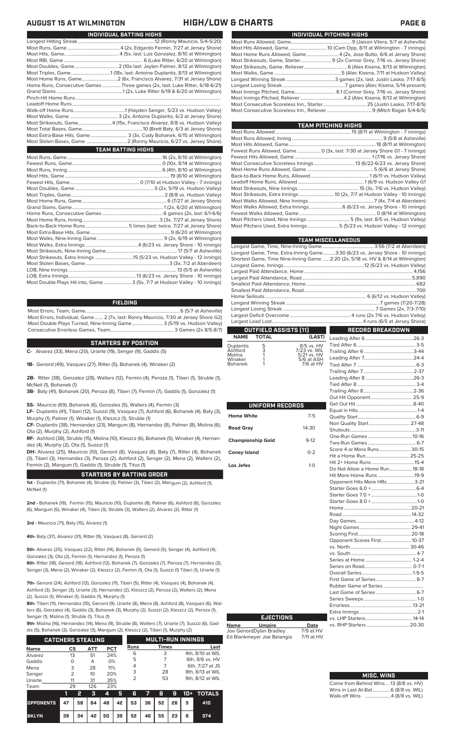| INDIVIDUAL BATTING HIGHS                                                    |
|-----------------------------------------------------------------------------|
|                                                                             |
|                                                                             |
|                                                                             |
|                                                                             |
|                                                                             |
|                                                                             |
|                                                                             |
| Home Runs, Consecutive Games Three games (2x, last: Luke Ritter, 6/18-6/21) |
|                                                                             |
|                                                                             |
|                                                                             |
|                                                                             |
|                                                                             |
| Most Strikeouts, Game4 (15x, Francisco Alvarez, 8/8 vs. Hudson Valley)      |
|                                                                             |
| Most Extra-Base Hits, Game 3 (3x, Cody Bohanek, 6/15 at Wilmington)         |
|                                                                             |
| <b>TEAM BATTING HIGHS</b>                                                   |
|                                                                             |
|                                                                             |
|                                                                             |
|                                                                             |
|                                                                             |
|                                                                             |
|                                                                             |
|                                                                             |
|                                                                             |
|                                                                             |
|                                                                             |
|                                                                             |
|                                                                             |
|                                                                             |
|                                                                             |

### **FIELDING**

Most Errors, Team, Game...............................................................................6 (5/7 at Asheville) Most Errors, Individual, Game....... 2 (7x, last: Ronny Mauricio, 7/30 at Jersey Shore G2) Most Double Plays Turned, Nine-Inning Game.......................... 3 (5/19 vs. Hudson Valley) Consecutive Errorless Games, Team...

### **STARTERS BY POSITION**

**C-** Alvarez (33), Mena (20), Uriarte (19), Senger (9), Gaddis (5)

**1B-** Genord (49), Vasquez (27), Ritter (5), Bohanek (4), Winaker (2)

**2B-** Ritter (38), Gonzalez (28), Walters (12), Fermin (4), Peroza (1), Tiberi (1), Struble (1), McNeil (1), Bohanek (1)

**3B-** Baty (41), Bohanek (20), Peroza (8), Tiberi (7), Fermin (7), Gaddis (1), Gonzalez (1)

**SS-** Mauricio (69), Bohanek (6), Gonzalez (5), Walters (4), Fermin (3)

**LF-** Duplantis (41), Tiberi (12), Suozzi (9), Vasquez (7), Ashford (6), Bohanek (4), Baty (3), Murphy (1), Palmer (1), Winaker (1), Kleszcz (1), Struble (1)

**CF-** Duplantis (38), Hernandez (23), Mangum (8), Hernandez (8), Palmer (8), Molina (6), Ota (2), Murphy (2), Ashford (1)

**RF-** Ashford (38), Struble (15), Molina (10), Kleszcz (6), Bohanek (5), Winaker (4), Hernandez (4), Murphy (2), Ota (1), Suozzi (1)

**DH-** Alvarez (25), Mauricio (10), Genord (8), Vasquez (8), Baty (7), Ritter (4), Bohanek (3), Tiberi (3), Hernandez (3), Peroza (2), Ashford (2), Senger (2), Mena (2), Walters (2), Fermin (2), Mangum (1), Gaddis (1), Struble (1), Titus (1)

### **STARTERS BY BATTING ORDER**

**1st -** Duplantis (71), Bohanek (4), Struble (3), Palmer (3), Tiberi (2), Mangum (2), Ashford (1), McNeil (1)

**2nd -** Bohanek (18), Fermin (15), Mauricio (10), Duplantis (8), Palmer (6), Ashford (6), Gonzalez (6), Mangum (5), Winaker (4), Tiberi (3), Struble (3), Walters (2), Alvarez (2), Ritter (1)

**3rd -** Mauricio (71), Baty (15), Alvarez (1)

**4th-** Baty (37), Alvarez (31), Ritter (9), Vasquez (8), Genord (2)

**5th-** Alvarez (25), Vasquez (22), Ritter (14), Bohanek (5), Genord (5), Senger (4), Ashford (4), Gonzalez (3), Ota (2), Fermin (1), Hernandez (1), Peroza (1)

**6th-** Ritter (18), Genord (18), Ashford (12), Bohanek (7), Gonzalez (7), Peroza (7), Hernandez (3), Senger (3), Mena (2), Winaker (2), Kleszcz (2), Fermin (1), Ota (1), Suozzi (1) Tiberi (1), Uriarte (1)

**7th-** Genord (24), Ashford (12), Gonzalez (11), Tiberi (5), Ritter (4), Vasquez (4), Bohanek (4), Ashford (3), Senger (3), Uriarte (3), Hernandez (2), Kleszcz (2), Peroza (2), Walters (2), Me (2), Suozzi (1), Winaker (1), Gaddis (1), Murphy (1)

**8th-** Tiberi (11), Hernandez (10), Genord (9), Uriarte (8), Mena (8), Ashford (8), Vasquez (6), Walters (6), Gonzalez (4), Gaddis (3), Bohanek (3), Murphy (2), Suozzi (2), Kleszcz (2), Peroza (1), Senger (1), Molina (1), Struble (1), Titus (1)

**9th-** Molina (16), Hernandez (14), Mena (9), Struble (8), Walters (7), Uriarte (7), Suozzi (6), Gad-

dis (5), Bohanek (3), Gonzalez (3), Mangum (2), Kleszcz (2), Tiberi (1), Murphy (2)

|             | <b>CATCHERS STEALING</b> |     |            |             | <b>MULTI-RUN INNINGS</b> |                  |
|-------------|--------------------------|-----|------------|-------------|--------------------------|------------------|
| <b>Name</b> | CS                       | ATT | <b>PCT</b> | <b>Runs</b> | <b>Times</b>             | Last             |
| Alvarez     | 13                       | 51  | 24%        | 6           | 3                        | 4th, 8/10 at WIL |
| Gaddis      | O                        | 4   | 0%         | 5           |                          | 6th, 8/6 vs. HV  |
| Mena        | 3                        | 28  | 11%        | 4           |                          | 6th, 7/27 at JS  |
| Senger      | 2                        | 10  | 20%        | 3           | 28                       | 8th, 8/13 at WIL |
| Uriarte     | 11                       | 31  | 35%        | っ           | 53                       | 9th, 8/12 at WIL |
|             |                          |     |            |             |                          |                  |
| Team        | 29                       | 126 | 23%        |             |                          |                  |

|                                        |    | - 3          | $4 \overline{5}$ |                            |  |  | 6 7 8 9 10 + TOTALS |
|----------------------------------------|----|--------------|------------------|----------------------------|--|--|---------------------|
| OPPONENTS 47 58 64 48 42 53 36 52 26 5 |    |              |                  |                            |  |  | 410                 |
| <b>BKLYN</b>                           | 39 | 34   42   50 |                  | 39   52   46   55   23   6 |  |  | 374                 |

### **AUGUST 15 AT WILMINGTON HIGH/LOW & CHARTS PAGE 6**

| INDIVIDUAL PITCHING HIGHS                                            |
|----------------------------------------------------------------------|
|                                                                      |
|                                                                      |
| Most Home Runs Allowed, Game 4 (2x, Jose Butto, 6/6 at Jersey Shore) |
|                                                                      |
|                                                                      |
|                                                                      |
|                                                                      |
|                                                                      |
|                                                                      |
|                                                                      |
|                                                                      |
|                                                                      |

|                                                                                       | <b>TEAM PITCHING HIGHS</b> |
|---------------------------------------------------------------------------------------|----------------------------|
|                                                                                       |                            |
|                                                                                       |                            |
|                                                                                       |                            |
| Fewest Runs Allowed, Game  0 (3x, last: 7/30 at Jersey Shore G1 - 7 innings)          |                            |
|                                                                                       |                            |
|                                                                                       |                            |
|                                                                                       |                            |
|                                                                                       |                            |
|                                                                                       |                            |
| Most Strikeouts, Nine Innings …………………………………………………………………15 (3x, 7/6 vs. Hudson Valley) |                            |
| Most Strikeouts, Extra Innings  10 (2x, 7/7 at Hudson Valley - 10 innings)            |                            |
|                                                                                       |                            |
|                                                                                       |                            |
|                                                                                       |                            |
|                                                                                       |                            |
| Most Pitchers Used, Extra Innings5 (5/23 vs. Hudson Valley - 12 innings)              |                            |
|                                                                                       |                            |

|                                                                                    | <b>TEAM MISCELLANEOUS</b> |
|------------------------------------------------------------------------------------|---------------------------|
|                                                                                    |                           |
| Longest Game, Time, Extra-Inning Game3:30 (6/23 vs. Jersey Shore - 10 innings)     |                           |
| Shortest Game, Time Nine-Inning Game.  2:20 (2x, 5/18 vs. HV & 8/14 at Wilmington) |                           |
|                                                                                    |                           |
|                                                                                    |                           |
|                                                                                    |                           |
|                                                                                    |                           |
|                                                                                    |                           |
|                                                                                    |                           |
|                                                                                    |                           |
|                                                                                    |                           |
|                                                                                    |                           |
|                                                                                    |                           |
| OUTFIELD ASSISTS [11]                                                              | RECORD BREAKDOWN          |

# **NAME TOTAL**

|  | Duplantis<br>Ashford<br>Molina<br>Winaker<br><b>Bohanek</b> | 5<br>3 | 8/5 vs. HV<br>7/23 vs. WIL<br>5/21 vs. HV<br>5/6 at ASH<br>7/6 at HV |
|--|-------------------------------------------------------------|--------|----------------------------------------------------------------------|
|--|-------------------------------------------------------------|--------|----------------------------------------------------------------------|

| UNIFORM RECORDS          |         |
|--------------------------|---------|
| <b>Home White</b>        | $7-5$   |
| <b>Road Gray</b>         | 14-30   |
| <b>Championship Gold</b> | $9-12$  |
| <b>Coney Island</b>      | $0 - 2$ |
| Los Jefes                | $1-0$   |
|                          |         |
|                          |         |
|                          |         |
|                          |         |
|                          |         |
|                          |         |
|                          |         |
|                          |         |
|                          |         |
|                          |         |

| (LAST)                       |                               |  |
|------------------------------|-------------------------------|--|
|                              |                               |  |
| vs. HV<br><sup>/s. WIL</sup> |                               |  |
| vs. HV<br>at ASH             |                               |  |
| at HV                        |                               |  |
|                              |                               |  |
|                              |                               |  |
|                              |                               |  |
|                              |                               |  |
|                              |                               |  |
|                              |                               |  |
|                              |                               |  |
| $7-5$                        |                               |  |
|                              | Non Quality Start  27-48      |  |
| 30                           |                               |  |
|                              |                               |  |
| $-12$                        |                               |  |
| $-2$                         | Score 4 or More Runs 30-15    |  |
|                              |                               |  |
| $1 - 0$                      |                               |  |
|                              | Do Not Allow a Home Run 18-18 |  |
|                              | Hit More Home Runs 19-9       |  |
|                              | Opponent Hits More HRs3-21    |  |
|                              |                               |  |
|                              |                               |  |
|                              |                               |  |
|                              |                               |  |
|                              |                               |  |
|                              |                               |  |
|                              |                               |  |
|                              |                               |  |
|                              | Opponent Scores First 10-37   |  |
|                              |                               |  |
|                              |                               |  |
|                              |                               |  |
|                              |                               |  |
|                              |                               |  |
|                              | First Game of Series  8-7     |  |
|                              |                               |  |
|                              |                               |  |
|                              |                               |  |
|                              |                               |  |
|                              |                               |  |
|                              |                               |  |
| <b>Date</b>                  |                               |  |

## **Name Umpire Date** Joe GenordDylan Bradley 7/9 at HV **EJECTIONS**

Ed Blankmeyer Joe Belangia 7/11 at HV

**MISC. WINS**

|                                        | . |  |
|----------------------------------------|---|--|
| Come from Behind Wins  13 (8/8 vs. HV) |   |  |
| Wins in Last At-Bat 6 (8/8 vs. WIL)    |   |  |
| Walk-off Wins 4 (8/8 vs. WIL)          |   |  |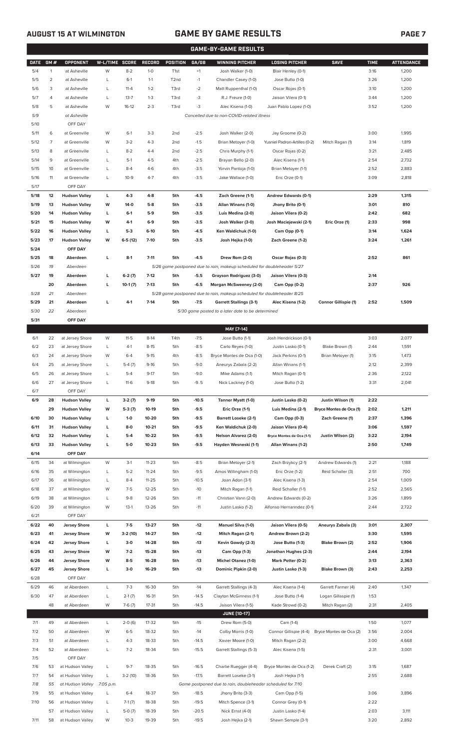# **AUGUST 15 AT WILMINGTON GAME BY GAME RESULTS PAGE 7**

|              | <b>GAME-BY-GAME RESULTS</b> |                                 |                |           |               |                   |         |                                                                         |                               |                             |             |                   |
|--------------|-----------------------------|---------------------------------|----------------|-----------|---------------|-------------------|---------|-------------------------------------------------------------------------|-------------------------------|-----------------------------|-------------|-------------------|
| <b>DATE</b>  | GM#                         | OPPONENT                        | W-L/TIME SCORE |           | <b>RECORD</b> | POSITION          | GA/GB   | <b>WINNING PITCHER</b>                                                  | <b>LOSING PITCHER</b>         | <b>SAVE</b>                 | <b>TIME</b> | <b>ATTENDANCE</b> |
| 5/4          | 1                           | at Asheville                    | W              | $8 - 2$   | $1-0$         | T <sub>1st</sub>  | $+1$    | Josh Walker (1-0)                                                       | Blair Henley (0-1)            |                             | 3:16        | 1,200             |
| 5/5          | $\overline{2}$              | at Asheville                    | L              | $6-1$     | $1 - 1$       | T <sub>2</sub> nd | $-1$    | Chandler Casey (1-0)                                                    | Jose Butto (1-0)              |                             | 3:26        | 1,200             |
| 5/6          | 3                           | at Asheville                    | L              | $11 - 4$  | $1 - 2$       | T3rd              | $-2$    | Matt Ruppenthal (1-0)                                                   | Oscar Rojas (0-1)             |                             | 3:10        | 1,200             |
| 5/7          | 4                           | at Asheville                    | L              | $13 - 7$  | $1 - 3$       | T3rd              | $-3$    | R.J. Freure (1-0)                                                       | Jaison Vilera (0-1)           |                             | 3:44        | 1,200             |
| 5/8          | 5                           | at Asheville                    | W              | $16-12$   | $2 - 3$       | T3rd              | -3      | Alec Kisena (1-0)                                                       | Juan Pablo Lopez (1-0)        |                             | 3:52        | 1,200             |
| 5/9          |                             | at Asheville                    |                |           |               |                   |         | Cancelled due to non-COVID-related illness                              |                               |                             |             |                   |
| 5/10         |                             | OFF DAY                         |                |           |               |                   |         |                                                                         |                               |                             |             |                   |
| 5/11         | 6                           | at Greenville                   | W              | $6-1$     | $3-3$         | 2 <sub>nd</sub>   | $-2.5$  | Josh Walker (2-0)                                                       | Jay Groome (0-2)              |                             | 3:00        | 1,995             |
| 5/12         | 7                           | at Greenville                   | W              | $3-2$     | $4 - 3$       | 2nd               | $-1.5$  | Brian Metoyer (1-0)                                                     | Yusniel Padron-Artilles (0-2) | Mitch Ragan (1)             | 3:14        | 1,819             |
| 5/13         | 8                           | at Greenville                   | L              | $8 - 2$   | $4 - 4$       | 2nd               | $-2.5$  | Chris Murphy (1-1)                                                      | Oscar Rojas (0-2)             |                             | 3:21        | 2,485             |
| 5/14         | 9                           | at Greenville                   | L              | $5-1$     | $4 - 5$       | 4th               | $-2.5$  | Brayan Bello (2-0)                                                      | Alec Kisena (1-1)             |                             | 2:54        | 2,732             |
| 5/15         | 10                          | at Greenville                   | L              | $8 - 4$   | $4-6$         | 4th               | $-3.5$  | Yorvin Pantoja (1-0)                                                    | Brian Metoyer (1-1)           |                             | 2:52        | 2,883             |
| 5/16         | 11                          | at Greenville                   | L              | $10-9$    | $4 - 7$       | 4th               | $-3.5$  | Jake Wallace (1-0)                                                      | Eric Orze (0-1)               |                             | 3:09        | 2,818             |
| 5/17         |                             | OFF DAY                         |                |           |               |                   |         |                                                                         |                               |                             |             |                   |
| 5/18         | 12                          | <b>Hudson Valley</b>            | L              | $4 - 3$   | $4 - 8$       | 5th               | $-4.5$  | Zach Greene (1-1)                                                       | Andrew Edwards (0-1)          |                             | 2:29        | 1,315             |
| 5/19         | 13                          | <b>Hudson Valley</b>            | W              | $14-0$    | $5-8$         | 5th               | $-3.5$  | Allan Winans (1-0)                                                      | Jhony Brito (0-1)             |                             | 3:01        | 810               |
| 5/20         | 14                          | <b>Hudson Valley</b>            | L              | $6-1$     | $5-9$         | 5th               | $-3.5$  | Luis Medina (2-0)                                                       | Jaison Vilera (0-2)           |                             | 2:42        | 682               |
| 5/21         | 15                          | <b>Hudson Valley</b>            | W              | $4-1$     | $6-9$         | 5th               | $-3.5$  | Josh Walker (3-0)                                                       | Josh Maciejewski (2-1)        | Eric Orze (1)               | 2:33        | 998               |
| 5/22         | 16                          | <b>Hudson Valley</b>            | г              | $5-3$     | $6-10$        | 5th               | $-4.5$  | Ken Waldichuk (1-0)                                                     | Cam Opp (0-1)                 |                             | 3:14        | 1,624             |
| 5/23         | 17                          | <b>Hudson Valley</b>            | W              | $6-5(12)$ | $7-10$        | 5th               | $-3.5$  | Josh Hejka (1-0)                                                        | Zach Greene (1-2)             |                             | 3:24        | 1,261             |
| 5/24         |                             | OFF DAY                         |                |           |               |                   |         |                                                                         |                               |                             |             |                   |
| 5/25         | 18                          | Aberdeen                        | L              | $8-1$     | $7 - 11$      | 5th               | $-4.5$  | Drew Rom (2-0)                                                          | Oscar Rojas (0-3)             |                             | 2:52        | 861               |
| 5/26         | 19                          | Aberdeen                        |                |           |               |                   |         | 5/26 game postponed due to rain, makeup scheduled for doubleheader 5/27 |                               |                             |             |                   |
| 5/27         | 19                          | Aberdeen                        | L              | $6-2(7)$  | $7-12$        | 5th               | $-5.5$  | Grayson Rodriguez (3-0)                                                 | Jaison Vilera (0-3)           |                             | 2:14        |                   |
|              | 20                          | Aberdeen                        | г              | $10-1(7)$ | $7-13$        | 5th               | $-6.5$  | Morgan McSweeney (2-0)                                                  | Cam Opp (0-2)                 |                             | 2:37        | 926               |
| 5/28         | 21                          | Aberdeen                        |                |           |               |                   |         | 5/28 game postponed due to rain, makeup scheduled for doubleheader 8/25 |                               |                             |             |                   |
| 5/29         | 21                          | Aberdeen                        | г              | $4-1$     | $7 - 14$      | 5th               | $-7.5$  | <b>Garrett Stallings (3-1)</b>                                          | Alec Kisena (1-2)             | <b>Connor Gillispie (1)</b> | 2:52        | 1,509             |
| 5/30         | 22                          | Aberdeen                        |                |           |               |                   |         | 5/30 game posted to a later date to be determined                       |                               |                             |             |                   |
| 5/31         |                             | OFF DAY                         |                |           |               |                   |         |                                                                         |                               |                             |             |                   |
|              |                             |                                 |                |           |               |                   |         | MAY [7-14]                                                              |                               |                             |             |                   |
| 6/1          | 22                          | at Jersey Shore                 | W              | $11 - 5$  | $8-14$        | T4th              | $-7.5$  | Jose Butto (1-1)                                                        | Josh Hendrickson (0-1)        |                             | 3:03        | 2,077             |
| 6/2          | 23                          | at Jersey Shore                 | L              | $4-1$     | $8 - 15$      | 5th               | $-8.5$  | Carlo Reyes (1-0)                                                       | Justin Lasko (0-1)            | Blake Brown (1)             | 2:44        | 1,591             |
| 6/3          | 24                          | at Jersey Shore                 | W              | $6 - 4$   | $9 - 15$      | 4th               | $-8.5$  | Bryce Montes de Oca (1-0)                                               | Jack Perkins (0-1)            | Brian Metoyer (1)           | 3:15        | 1,473             |
| 6/4          | 25                          | at Jersey Shore                 | L              | $5-4(7)$  | $9-16$        | 5th               | $-9.0$  | Aneurys Zabala (2-2)                                                    | Allan Winans (1-1)            |                             | 2:12        | 2,399             |
| 6/5          | 26                          | at Jersey Shore                 | L              | $5 - 4$   | $9 - 17$      | 5th               | $-9.0$  | Mike Adams (1-1)                                                        | Mitch Ragan (0-1)             |                             | 2:36        | 2,122             |
| 6/6          | 27                          | at Jersey Shore                 | L              | $11-6$    | $9-18$        | 5th               | $-9.5$  | Nick Lackney (1-0)                                                      | Jose Butto (1-2)              |                             | 3:31        | 2,041             |
| 6/7          |                             | OFF DAY                         |                |           |               |                   |         |                                                                         |                               |                             |             |                   |
| 6/9          | 28                          | <b>Hudson Valley</b>            | L              | $3-2(7)$  | $9-19$        | 5th               | $-10.5$ | Tanner Myatt (1-0)                                                      | Justin Lasko (0-2)            | Justin Wilson (1)           | 2:22        |                   |
|              | 29                          | <b>Hudson Valley</b>            | W              | $5-3(7)$  | 10-19         | 5th               | $-9.5$  | Eric Orze (1-1)                                                         | Luis Medina (2-1)             | Bryce Montes de Oca (1)     | 2:02        | 1,211             |
| 6/10         | 30                          | <b>Hudson Valley</b>            | L              | $1-0$     | 10-20         | 5th               | $-9.5$  | <b>Barrett Loseke (2-1)</b>                                             | Cam Opp (0-3)                 | Zach Greene (1)             | 2:37        | 1,396             |
| 6/11         | 31                          | <b>Hudson Valley</b>            | L              | 8-0       | $10 - 21$     | 5th               | $-9.5$  | Ken Waldichuk (2-0)                                                     | Jaison Vilera (0-4)           |                             | 3:06        | 1,597             |
| 6/12         | 32                          | <b>Hudson Valley</b>            | г              | $5-4$     | 10-22         | 5th               | $-9.5$  | Nelson Alvarez (2-0)                                                    | Bryce Montes de Oca (1-1)     | Justin Wilson (2)           | 3:22        | 2,194             |
| 6/13<br>6/14 | 33                          | <b>Hudson Valley</b><br>OFF DAY | L              | 5-0       | $10 - 23$     | 5th               | $-9.5$  | Hayden Wesneski (1-1)                                                   | Allan Winans (1-2)            |                             | 2:50        | 1,749             |
| 6/15         | 34                          | at Wilmington                   | W              | $3-1$     | $11 - 23$     | 5th               | $-8.5$  |                                                                         | Zach Brzykcy (2-1)            | Andrew Edwards (1)          | 2:21        | 1,188             |
| 6/16         | 35                          | at Wilmington                   | L              | $5 - 2$   | $11 - 24$     | 5th               | $-9.5$  | Brian Metoyer (2-1)<br>Amos Willingham (1-0)                            | Eric Orze (1-2)               | Reid Schaller (3)           | 2:51        | 700               |
| 6/17         | 36                          | at Wilmington                   | L              | $8 - 4$   | $11 - 25$     | 5th               | $-10.5$ | Joan Adon (3-1)                                                         | Alec Kisena (1-3)             |                             | 2:54        | 1,009             |
| 6/18         | 37                          | at Wilmington                   | W              | $7 - 5$   | $12 - 25$     | 5th               | $-10$   | Mitch Ragan (1-1)                                                       | Reid Schaller (1-1)           |                             | 2:52        | 2,565             |
| 6/19         | 38                          | at Wilmington                   | L              | $9 - 8$   | $12 - 26$     | 5th               | $-11$   | Christian Vann (2-0)                                                    | Andrew Edwards (0-2)          |                             | 3:26        | 1,899             |
| 6/20         | 39                          | at Wilmington                   | W              | $13-1$    | $13 - 26$     | 5th               | $-11$   | Justin Lasko (1-2)                                                      | Alfonso Hernanndez (0-1)      |                             | 2:44        | 2,722             |
| 6/21         |                             | OFF DAY                         |                |           |               |                   |         |                                                                         |                               |                             |             |                   |
| 6/22         | 40                          | <b>Jersey Shore</b>             | L              | $7-5$     | 13-27         | 5th               | $-12$   | <b>Manuel Silva (1-0)</b>                                               | Jaison Vilera (0-5)           | Aneurys Zabala (3)          | 3:01        | 2,307             |
| 6/23         | 41                          | <b>Jersey Shore</b>             | W              | 3-2 (10)  | 14-27         | 5th               | $-12$   | Mitch Ragan (2-1)                                                       | Andrew Brown (2-2)            |                             | 3:30        | 1,595             |
| 6/24         | 42                          | <b>Jersey Shore</b>             | L              | 3-0       | 14-28         | 5th               | $-13$   | Kevin Gowdy (2-3)                                                       | Jose Butto (1-3)              | Blake Brown (2)             | 2:52        | 1,906             |
| 6/25         | 43                          | <b>Jersey Shore</b>             | W              | $7-2$     | 15-28         | 5th               | $-13$   | Cam Opp (1-3)                                                           | Jonathan Hughes (2-3)         |                             | 2:44        | 2,194             |
| 6/26         | 44                          | <b>Jersey Shore</b>             | W              | $8 - 5$   | 16-28         | 5th               | $-13$   | Michel Otanez (1-0)                                                     | Mark Potter (0-2)             |                             | 3:13        | 2,363             |
| 6/27         | 45                          | <b>Jersey Shore</b>             | L              | $3-0$     | 16-29         | 5th               | $-13$   | Dominic Pipkin (2-0)                                                    | Justin Lasko (1-3)            | Blake Brown (3)             | 2:43        | 2,253             |
| 6/28         |                             | OFF DAY                         |                |           |               |                   |         |                                                                         |                               |                             |             |                   |
| 6/29         | 46                          | at Aberdeen                     | L              | $7 - 3$   | 16-30         | 5th               | $-14$   | Garrett Stallings (4-3)                                                 | Alec Kisena (1-4)             | Garrett Farmer (4)          | 2:40        | 1,347             |
| 6/30         | 47                          | at Aberdeen                     | L              | $2-1(7)$  | $16 - 31$     | 5th               | $-14.5$ | Clayton McGinness (1-1)                                                 | Jose Butto (1-4)              | Logan Gillaspie (1)         | 1:53        |                   |
|              | 48                          | at Aberdeen                     | W              | $7-6(7)$  | 17-31         | 5th               | $-14.5$ | Jaison Vilera (1-5)                                                     | Kade Strowd (0-2)             | Mitch Ragan (2)             | 2:31        | 2,405             |
|              |                             |                                 |                |           |               |                   |         | <b>JUNE (10-17)</b>                                                     |                               |                             |             |                   |
| 7/1          | 49                          | at Aberdeen                     | L              | $2-0(6)$  | 17-32         | 5th               | $-15$   | Drew Rom (5-0)                                                          | Cam (1-4)                     |                             | 1:50        | 1,077             |
| 7/2          | 50                          | at Aberdeen                     | W              | $6 - 5$   | 18-32         | 5th               | $-14$   | Colby Morris (1-0)                                                      | Connor Gillispie (4-4)        | Bryce Montes de Oca (2)     | 3:56        | 2,004             |
| 7/3          | 51                          | at Aberdeen                     | L              | $4 - 3$   | 18-33         | 5th               | $-14.5$ | Xavier Moore (1-0)                                                      | Mitch Ragan (2-2)             |                             | 3:00        | 4,668             |
| 7/4          | 52                          | at Aberdeen                     | L              | $7 - 2$   | 18-34         | 5th               | $-15.5$ | Garrett Stallings (5-3)                                                 | Alec Kisena (1-5)             |                             | 2:31        | 3,001             |
| 7/5          |                             | OFF DAY                         |                |           |               |                   |         |                                                                         |                               |                             |             |                   |
| 7/6          | 53                          | at Hudson Valley                | L              | $9 - 7$   | 18-35         | 5th               | $-16.5$ | Charlie Ruegger (4-4)                                                   | Bryce Montes de Oca (1-2)     | Derek Craft (2)             | 3:15        | 1,687             |
| 7/7          | 54                          | at Hudson Valley                | L              | $3-2(10)$ | 18-36         | 5th               | $-17.5$ | Barrett Loseke (3-1)                                                    | Josh Hejka (1-1)              |                             | 2:55        | 2,688             |
| 7/8          | 55                          | at Hudson Valley                | 7:05 p.m.      |           |               |                   |         | Game postponed due to rain, doubleheader scheduled for 7/10             |                               |                             |             |                   |
| 7/9          | 55                          | at Hudson Valley                | L              | $6 - 4$   | 18-37         | 5th               | $-18.5$ | Jhony Brito (3-3)                                                       | Cam Opp (1-5)                 |                             | 3:06        | 3,896             |
| 7/10         | 56                          | at Hudson Valley                | L              | $7-1(7)$  | 18-38         | 5th               | $-19.5$ | Mitch Spence (3-1)                                                      | Connor Grey (0-1)             |                             | 2:22        |                   |
|              | 57                          | at Hudson Valley                |                | $5-0(7)$  | 18-39         | 5th               | $-20.5$ | Nick Ernst (4-0)                                                        | Justin Lasko (1-4)            |                             | 2:03        | 3 1 1 1           |

7/11 58 at Hudson Valley W 10-3 19-39 5th -19.5 Josh Hejka (2-1) Shawn Semple (3-1) 3:20 2,892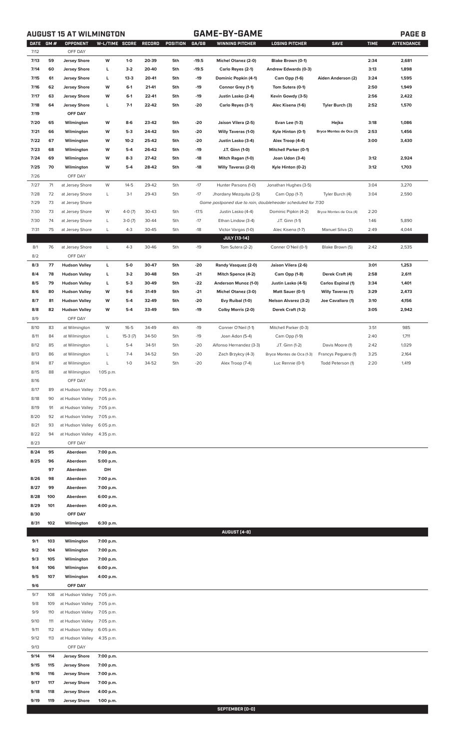**AUGUST 15 AT WILMINGTON GAME-BY-GAME PAGE 8**

| <b>DATE</b>  | <b>GM#</b> | OPPONENT                   | W-L/TIME SCORE         |                   | RECORD         | POSITION   | GA/GB        | <b>WINNING PITCHER</b>                                      | <b>LOSING PITCHER</b>                | <b>SAVE</b>              | <b>TIME</b> | <b>ATTENDANCE</b> |
|--------------|------------|----------------------------|------------------------|-------------------|----------------|------------|--------------|-------------------------------------------------------------|--------------------------------------|--------------------------|-------------|-------------------|
| 7/12         |            | OFF DAY                    |                        |                   |                |            |              |                                                             |                                      |                          |             |                   |
| 7/13         | 59         | <b>Jersey Shore</b>        | W                      | $1 - 0$           | 20-39          | 5th        | $-19.5$      | <b>Michel Otanez (2-0)</b>                                  | Blake Brown (0-1)                    |                          | 2:34        | 2,681             |
| 7/14         | 60         | <b>Jersey Shore</b>        | L                      | $3-2$             | 20-40          | 5th        | $-19.5$      | Carlo Reyes (2-1)                                           | Andrew Edwards (0-3)                 |                          | 3:13        | 1,898             |
| 7/15         | 61         | <b>Jersey Shore</b>        | L                      | $13-3$            | 20-41          | 5th        | $-19$        | Dominic Popkin (4-1)                                        | Cam Opp (1-6)                        | Aiden Anderson (2)       | 3:24        | 1,595             |
| 7/16         | 62         | <b>Jersey Shore</b>        | W                      | $6-1$             | 21-41          | 5th        | $-19$        | Connor Grey (1-1)                                           | Tom Sutera (0-1)                     |                          | 2:50        | 1,949             |
| 7/17         | 63         | <b>Jersey Shore</b>        | W                      | $6-1$<br>$7-1$    | 22-41          | 5th        | $-19$        | Justin Lasko (2-4)                                          | Kevin Gowdy (3-5)                    |                          | 2:56        | 2,422             |
| 7/18         | 64         | <b>Jersey Shore</b>        | L                      |                   | 22-42          | 5th        | $-20$        | Carlo Reyes (3-1)                                           | Alec Kisena (1-6)                    | Tyler Burch (3)          | 2:52        | 1,570             |
| 7/19         |            | OFF DAY                    |                        |                   |                |            |              |                                                             |                                      |                          |             |                   |
| 7/20         | 65         | Wilmington                 | W                      | $8-6$             | 23-42          | 5th        | $-20$        | Jaison Vilera (2-5)                                         | Evan Lee (1-3)                       | Hejka                    | 3:18        | 1,086             |
| 7/21         | 66<br>67   | Wilmington                 | W                      | $5-3$             | 24-42          | 5th        | -20          | Willy Taveras (1-0)                                         | Kyle Hinton (0-1)                    | Bryce Montes de Oca (3)  | 2:53        | 1,456             |
| 7/22<br>7/23 | 68         | Wilmington                 | W<br>W                 | $10 - 2$<br>$5-4$ | 25-42<br>26-42 | 5th<br>5th | -20          | Justin Lasko (3-4)                                          | Alex Troop (4-4)                     |                          | 3:00        | 3,430             |
| 7/24         | 69         | Wilmington                 | W                      | $8-3$             | 27-42          | 5th        | -19          | J.T. Ginn (1-0)                                             | <b>Mitchell Parker (0-1)</b>         |                          | 3:12        |                   |
| 7/25         | 70         | Wilmington<br>Wilmington   | W                      | $5-4$             | 28-42          | 5th        | -18<br>$-18$ | Mitch Ragan (1-0)<br><b>Willy Taveras (2-0)</b>             | Joan Udon (3-4)<br>Kyle Hinton (0-2) |                          | 3:12        | 2,924<br>1,703    |
| 7/26         |            | OFF DAY                    |                        |                   |                |            |              |                                                             |                                      |                          |             |                   |
| 7/27         | 71         | at Jersey Shore            | W                      | $14 - 5$          | 29-42          | 5th        | $-17$        | Hunter Parsons (1-0)                                        | Jonathan Hughes (3-5)                |                          | 3:04        | 3,270             |
| 7/28         | 72         | at Jersey Shore            | L                      | $3-1$             | 29-43          | 5th        | $-17$        | Jhordany Mezquita (2-5)                                     | Cam Opp (1-7)                        | Tyler Burch (4)          | 3:04        | 2,590             |
| 7/29         | 73         | at Jersey Shore            |                        |                   |                |            |              | Game postponed due to rain, doubleheader scheduled for 7/30 |                                      |                          |             |                   |
| 7/30         | 73         | at Jersey Shore            | W                      | $4-0(7)$          | 30-43          | 5th        | $-17.5$      | Justin Lasko (4-4)                                          | Dominic Pipkin (4-2)                 | Bryce Montes de Oca (4)  | 2:20        |                   |
| 7/30         | 74         | at Jersey Shore            | L                      | $3-0(7)$          | 30-44          | 5th        | $-17$        | Ethan Lindow (3-4)                                          | J.T. Ginn (1-1)                      |                          | 1:46        | 5,890             |
| 7/31         | 75         | at Jersey Shore            | L                      | $4 - 3$           | 30-45          | 5th        | $-18$        | Victor Vargas (1-0)                                         | Alec Kisena (1-7)                    | Manuel Silva (2)         | 2:49        | 4,044             |
|              |            |                            |                        |                   |                |            |              | JULY [13-14]                                                |                                      |                          |             |                   |
| 8/1          | 76         | at Jersey Shore            | L                      | $4 - 3$           | 30-46          | 5th        | $-19$        | Tom Sutera (2-2)                                            | Conner O'Neil (0-1)                  | Blake Brown (5)          | 2:42        | 2,535             |
| 8/2          |            | OFF DAY                    |                        |                   |                |            |              |                                                             |                                      |                          |             |                   |
| 8/3          | 77         | <b>Hudson Valley</b>       | Г                      | 5-0               | 30-47          | 5th        | -20          | Randy Vasquez (2-0)                                         | Jaison Vilera (2-6)                  |                          | 3:01        | 1,253             |
| 8/4          | 78         | <b>Hudson Valley</b>       | L                      | $3-2$             | 30-48          | 5th        | $-21$        | Mitch Spence (4-2)                                          | Cam Opp (1-8)                        | Derek Craft (4)          | 2:58        | 2,611             |
| 8/5          | 79         | <b>Hudson Valley</b>       | Г                      | $5-3$             | 30-49          | 5th        | $-22$        | Anderson Munoz (1-0)                                        | Justin Lasko (4-5)                   | Carlos Espinal (1)       | 3:34        | 1,401             |
| 8/6          | 80         | <b>Hudson Valley</b>       | W                      | $9-6$             | 31-49          | 5th        | $-21$        | <b>Michel Otanez (3-0)</b>                                  | Matt Sauer (0-1)                     | <b>Willy Taveras (1)</b> | 3:29        | 2,473             |
| 8/7          | 81         | <b>Hudson Valley</b>       | W                      | $5-4$             | 32-49          | 5th        | -20          | Evy Ruibal (1-0)                                            | <b>Nelson Alvarez (3-2)</b>          | Joe Cavallaro (1)        | 3:10        | 4,156             |
| 8/8          | 82         | <b>Hudson Valley</b>       | W                      | $5-4$             | 33-49          | 5th        | $-19$        | Colby Morris (2-0)                                          | Derek Craft (1-2)                    |                          | 3:05        | 2,942             |
| 8/9          |            | OFF DAY                    |                        |                   |                |            |              |                                                             |                                      |                          |             |                   |
| 8/10         | 83         | at Wilmington              | W                      | $16 - 5$          | 34-49          | 4th        | $-19$        | Conner O'Neil (1-1)                                         | Mitchell Parker (0-3)                |                          | 3:51        | 985               |
| 8/11         | 84         | at Wilmington              | L                      | $15-3(7)$         | 34-50          | 5th        | $-19$        | Joan Adon (5-4)                                             | Cam Opp (1-9)                        |                          | 2:40        | 1,711             |
| 8/12         | 85         | at Wilmington              | L                      | $5 - 4$           | 34-51          | 5th        | $-20$        | Alfonso Hernandez (3-3)                                     | J.T. Ginn (1-2)                      | Davis Moore (1)          | 2:42        | 1,029             |
| 8/13         | 86         | at Wilmington              | L                      | $7 - 4$           | 34-52          | 5th        | $-20$        | Zach Brzykcy (4-3)                                          | Bryce Montes de Oca (1-3)            | Francys Peguero (1)      | 3:25        | 2,164             |
| 8/14         | 87         | at Wilmington              | Г                      | $1-0$             | 34-52          | 5th        | $-20$        | Alex Troop (7-4)                                            | Luc Rennie (0-1)                     | Todd Peterson (1)        | 2:20        | 1,419             |
| 8/15         | 88         | at Wilmington              | 1:05 p.m.              |                   |                |            |              |                                                             |                                      |                          |             |                   |
| 8/16         |            | OFF DAY                    |                        |                   |                |            |              |                                                             |                                      |                          |             |                   |
| 8/17         | 89         | at Hudson Valley           | 7:05 p.m.              |                   |                |            |              |                                                             |                                      |                          |             |                   |
| 8/18         | 90         | at Hudson Valley           | 7:05 p.m.              |                   |                |            |              |                                                             |                                      |                          |             |                   |
| 8/19         | 91         | at Hudson Valley           | 7:05 p.m.              |                   |                |            |              |                                                             |                                      |                          |             |                   |
| 8/20         | 92         | at Hudson Valley           | 7:05 p.m.              |                   |                |            |              |                                                             |                                      |                          |             |                   |
| 8/21         | 93         | at Hudson Valley           | 6:05 p.m.              |                   |                |            |              |                                                             |                                      |                          |             |                   |
| 8/22         | 94         | at Hudson Valley           | 4:35 p.m.              |                   |                |            |              |                                                             |                                      |                          |             |                   |
| 8/23         |            | OFF DAY                    |                        |                   |                |            |              |                                                             |                                      |                          |             |                   |
| 8/24         | 95         | Aberdeen                   | 7:00 p.m.              |                   |                |            |              |                                                             |                                      |                          |             |                   |
| 8/25         | 96         | Aberdeen                   | 5:00 p.m.              |                   |                |            |              |                                                             |                                      |                          |             |                   |
|              | 97         | Aberdeen                   | DH                     |                   |                |            |              |                                                             |                                      |                          |             |                   |
| 8/26         | 98         | Aberdeen                   | 7:00 p.m.              |                   |                |            |              |                                                             |                                      |                          |             |                   |
| 8/27         | 99         | Aberdeen                   | 7:00 p.m.              |                   |                |            |              |                                                             |                                      |                          |             |                   |
| 8/28         | 100        | Aberdeen                   | 6:00 p.m.              |                   |                |            |              |                                                             |                                      |                          |             |                   |
| 8/29         | 101        | Aberdeen                   | 4:00 p.m.              |                   |                |            |              |                                                             |                                      |                          |             |                   |
| 8/30         |            | OFF DAY                    |                        |                   |                |            |              |                                                             |                                      |                          |             |                   |
| 8/31         | 102        | Wilmington                 | 6:30 p.m.              |                   |                |            |              |                                                             |                                      |                          |             |                   |
|              |            |                            |                        |                   |                |            |              | AUGUST [4-8]                                                |                                      |                          |             |                   |
| 9/1          | 103        | Wilmington                 | 7:00 p.m.              |                   |                |            |              |                                                             |                                      |                          |             |                   |
| 9/2          | 104        | Wilmington                 | 7:00 p.m.              |                   |                |            |              |                                                             |                                      |                          |             |                   |
| 9/3          | 105        | Wilmington                 | 7:00 p.m.              |                   |                |            |              |                                                             |                                      |                          |             |                   |
| 9/4<br>9/5   | 106<br>107 | Wilmington<br>Wilmington   | 6:00 p.m.<br>4:00 p.m. |                   |                |            |              |                                                             |                                      |                          |             |                   |
| 9/6          |            | OFF DAY                    |                        |                   |                |            |              |                                                             |                                      |                          |             |                   |
| 9/7          | 108        | at Hudson Valley           | 7:05 p.m.              |                   |                |            |              |                                                             |                                      |                          |             |                   |
| 9/8          | 109        | at Hudson Valley           | 7:05 p.m.              |                   |                |            |              |                                                             |                                      |                          |             |                   |
| 9/9          | 110        | at Hudson Valley 7:05 p.m. |                        |                   |                |            |              |                                                             |                                      |                          |             |                   |
| 9/10         | 111        | at Hudson Valley 7:05 p.m. |                        |                   |                |            |              |                                                             |                                      |                          |             |                   |
| 9/11         | 112        | at Hudson Valley           | 6:05 p.m.              |                   |                |            |              |                                                             |                                      |                          |             |                   |
| 9/12         | 113        | at Hudson Valley 4:35 p.m. |                        |                   |                |            |              |                                                             |                                      |                          |             |                   |
| 9/13         |            | OFF DAY                    |                        |                   |                |            |              |                                                             |                                      |                          |             |                   |
| 9/14         | 114        | <b>Jersey Shore</b>        | 7:00 p.m.              |                   |                |            |              |                                                             |                                      |                          |             |                   |
| 9/15         | 115        | <b>Jersey Shore</b>        | 7:00 p.m.              |                   |                |            |              |                                                             |                                      |                          |             |                   |
| 9/16         | 116        | <b>Jersey Shore</b>        | 7:00 p.m.              |                   |                |            |              |                                                             |                                      |                          |             |                   |
| 9/17         | 117        | <b>Jersey Shore</b>        | 7:00 p.m.              |                   |                |            |              |                                                             |                                      |                          |             |                   |
| 9/18         | 118        | <b>Jersey Shore</b>        | 4:00 p.m.              |                   |                |            |              |                                                             |                                      |                          |             |                   |
| 9/19         | 119        | <b>Jersey Shore</b>        | 1:00 p.m.              |                   |                |            |              |                                                             |                                      |                          |             |                   |
|              |            |                            |                        |                   |                |            |              | SEPTEMBER (0-0)                                             |                                      |                          |             |                   |